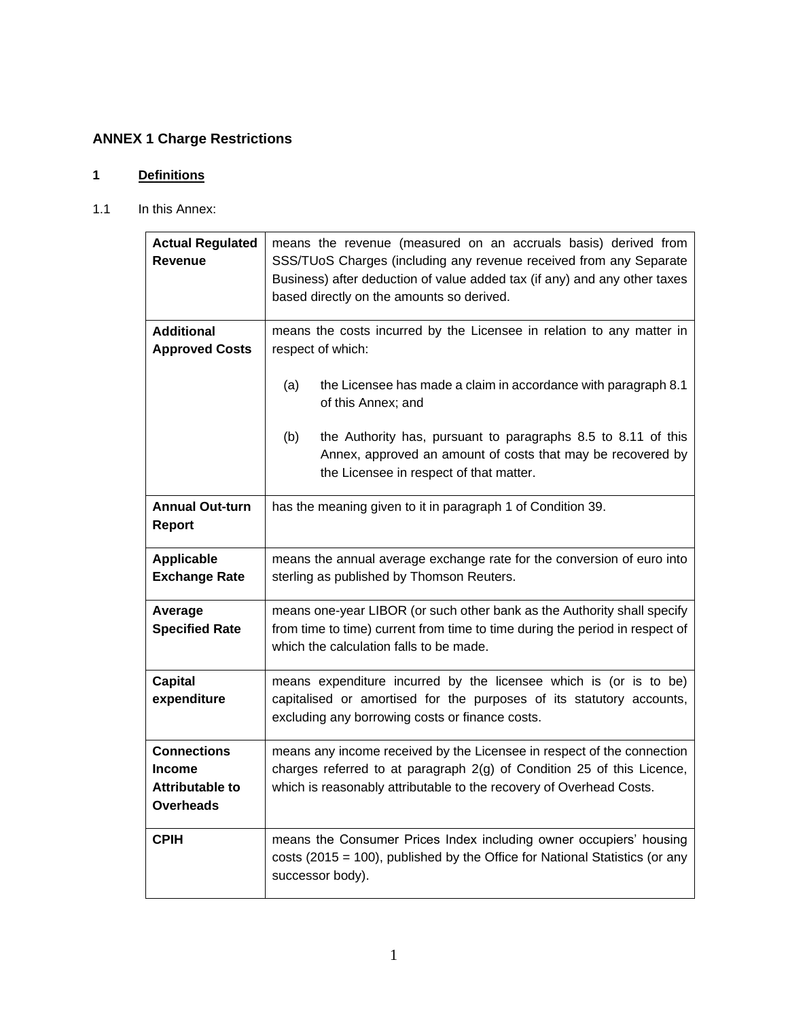# **ANNEX 1 Charge Restrictions**

## **1 Definitions**

## 1.1 In this Annex:

| <b>Actual Regulated</b><br><b>Revenue</b>                                         | means the revenue (measured on an accruals basis) derived from<br>SSS/TUoS Charges (including any revenue received from any Separate<br>Business) after deduction of value added tax (if any) and any other taxes<br>based directly on the amounts so derived. |
|-----------------------------------------------------------------------------------|----------------------------------------------------------------------------------------------------------------------------------------------------------------------------------------------------------------------------------------------------------------|
| <b>Additional</b><br><b>Approved Costs</b>                                        | means the costs incurred by the Licensee in relation to any matter in<br>respect of which:                                                                                                                                                                     |
|                                                                                   | the Licensee has made a claim in accordance with paragraph 8.1<br>(a)<br>of this Annex; and                                                                                                                                                                    |
|                                                                                   | (b)<br>the Authority has, pursuant to paragraphs 8.5 to 8.11 of this<br>Annex, approved an amount of costs that may be recovered by<br>the Licensee in respect of that matter.                                                                                 |
| <b>Annual Out-turn</b><br><b>Report</b>                                           | has the meaning given to it in paragraph 1 of Condition 39.                                                                                                                                                                                                    |
| <b>Applicable</b><br><b>Exchange Rate</b>                                         | means the annual average exchange rate for the conversion of euro into<br>sterling as published by Thomson Reuters.                                                                                                                                            |
| Average<br><b>Specified Rate</b>                                                  | means one-year LIBOR (or such other bank as the Authority shall specify<br>from time to time) current from time to time during the period in respect of<br>which the calculation falls to be made.                                                             |
| <b>Capital</b><br>expenditure                                                     | means expenditure incurred by the licensee which is (or is to be)<br>capitalised or amortised for the purposes of its statutory accounts,<br>excluding any borrowing costs or finance costs.                                                                   |
| <b>Connections</b><br><b>Income</b><br><b>Attributable to</b><br><b>Overheads</b> | means any income received by the Licensee in respect of the connection<br>charges referred to at paragraph 2(g) of Condition 25 of this Licence,<br>which is reasonably attributable to the recovery of Overhead Costs.                                        |
| <b>CPIH</b>                                                                       | means the Consumer Prices Index including owner occupiers' housing<br>costs (2015 = 100), published by the Office for National Statistics (or any<br>successor body).                                                                                          |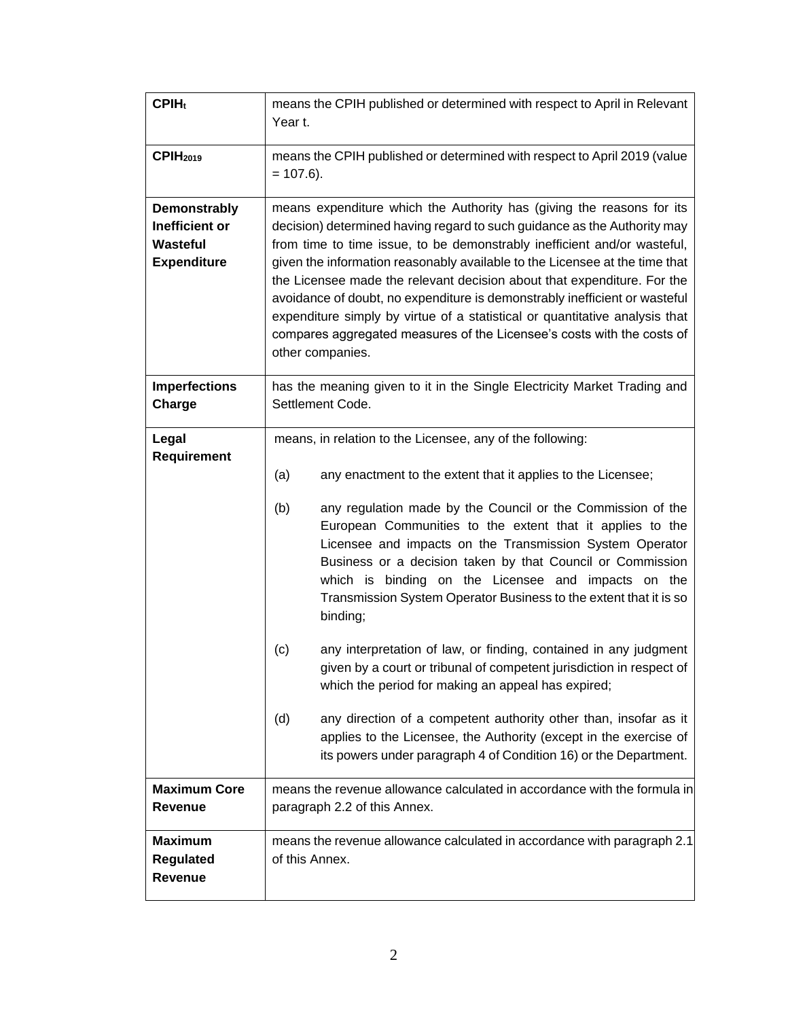| $CPIH_t$                                                                | means the CPIH published or determined with respect to April in Relevant<br>Year t.                                                                                                                                                                                                                                                                                                                                                                                                                                                                                                                                                                                                                                                                                                                                                                                                                                                                                |
|-------------------------------------------------------------------------|--------------------------------------------------------------------------------------------------------------------------------------------------------------------------------------------------------------------------------------------------------------------------------------------------------------------------------------------------------------------------------------------------------------------------------------------------------------------------------------------------------------------------------------------------------------------------------------------------------------------------------------------------------------------------------------------------------------------------------------------------------------------------------------------------------------------------------------------------------------------------------------------------------------------------------------------------------------------|
| CPIH <sub>2019</sub>                                                    | means the CPIH published or determined with respect to April 2019 (value<br>$= 107.6$ ).                                                                                                                                                                                                                                                                                                                                                                                                                                                                                                                                                                                                                                                                                                                                                                                                                                                                           |
| <b>Demonstrably</b><br>Inefficient or<br>Wasteful<br><b>Expenditure</b> | means expenditure which the Authority has (giving the reasons for its<br>decision) determined having regard to such guidance as the Authority may<br>from time to time issue, to be demonstrably inefficient and/or wasteful,<br>given the information reasonably available to the Licensee at the time that<br>the Licensee made the relevant decision about that expenditure. For the<br>avoidance of doubt, no expenditure is demonstrably inefficient or wasteful<br>expenditure simply by virtue of a statistical or quantitative analysis that<br>compares aggregated measures of the Licensee's costs with the costs of<br>other companies.                                                                                                                                                                                                                                                                                                                 |
| <b>Imperfections</b><br>Charge                                          | has the meaning given to it in the Single Electricity Market Trading and<br>Settlement Code.                                                                                                                                                                                                                                                                                                                                                                                                                                                                                                                                                                                                                                                                                                                                                                                                                                                                       |
| Legal<br>Requirement                                                    | means, in relation to the Licensee, any of the following:<br>(a)<br>any enactment to the extent that it applies to the Licensee;<br>(b)<br>any regulation made by the Council or the Commission of the<br>European Communities to the extent that it applies to the<br>Licensee and impacts on the Transmission System Operator<br>Business or a decision taken by that Council or Commission<br>which is binding on the Licensee and impacts on the<br>Transmission System Operator Business to the extent that it is so<br>binding;<br>any interpretation of law, or finding, contained in any judgment<br>(c)<br>given by a court or tribunal of competent jurisdiction in respect of<br>which the period for making an appeal has expired;<br>any direction of a competent authority other than, insofar as it<br>(d)<br>applies to the Licensee, the Authority (except in the exercise of<br>its powers under paragraph 4 of Condition 16) or the Department. |
| <b>Maximum Core</b><br><b>Revenue</b>                                   | means the revenue allowance calculated in accordance with the formula in<br>paragraph 2.2 of this Annex.                                                                                                                                                                                                                                                                                                                                                                                                                                                                                                                                                                                                                                                                                                                                                                                                                                                           |
| <b>Maximum</b><br>Regulated<br>Revenue                                  | means the revenue allowance calculated in accordance with paragraph 2.1<br>of this Annex.                                                                                                                                                                                                                                                                                                                                                                                                                                                                                                                                                                                                                                                                                                                                                                                                                                                                          |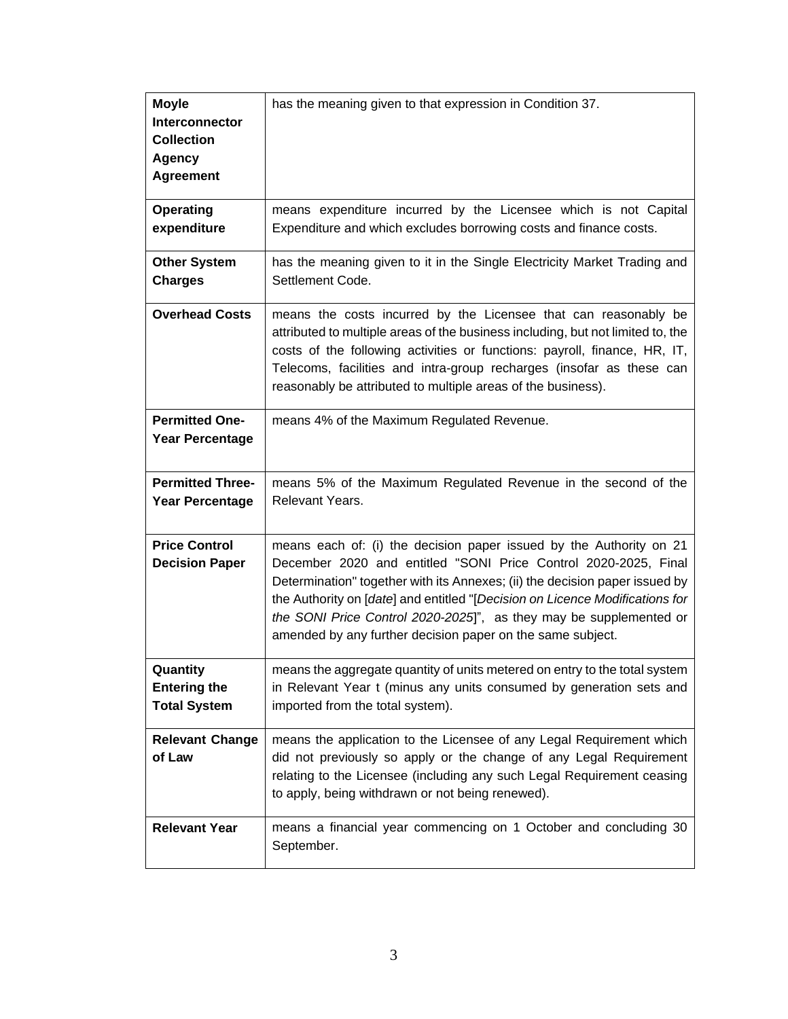| <b>Moyle</b><br>Interconnector<br><b>Collection</b><br>Agency<br><b>Agreement</b> | has the meaning given to that expression in Condition 37.                                                                                                                                                                                                                                                                                                                                                                                 |
|-----------------------------------------------------------------------------------|-------------------------------------------------------------------------------------------------------------------------------------------------------------------------------------------------------------------------------------------------------------------------------------------------------------------------------------------------------------------------------------------------------------------------------------------|
| <b>Operating</b><br>expenditure                                                   | means expenditure incurred by the Licensee which is not Capital<br>Expenditure and which excludes borrowing costs and finance costs.                                                                                                                                                                                                                                                                                                      |
| <b>Other System</b><br><b>Charges</b>                                             | has the meaning given to it in the Single Electricity Market Trading and<br>Settlement Code.                                                                                                                                                                                                                                                                                                                                              |
| <b>Overhead Costs</b>                                                             | means the costs incurred by the Licensee that can reasonably be<br>attributed to multiple areas of the business including, but not limited to, the<br>costs of the following activities or functions: payroll, finance, HR, IT,<br>Telecoms, facilities and intra-group recharges (insofar as these can<br>reasonably be attributed to multiple areas of the business).                                                                   |
| <b>Permitted One-</b><br><b>Year Percentage</b>                                   | means 4% of the Maximum Regulated Revenue.                                                                                                                                                                                                                                                                                                                                                                                                |
| <b>Permitted Three-</b><br><b>Year Percentage</b>                                 | means 5% of the Maximum Regulated Revenue in the second of the<br>Relevant Years.                                                                                                                                                                                                                                                                                                                                                         |
| <b>Price Control</b><br><b>Decision Paper</b>                                     | means each of: (i) the decision paper issued by the Authority on 21<br>December 2020 and entitled "SONI Price Control 2020-2025, Final<br>Determination" together with its Annexes; (ii) the decision paper issued by<br>the Authority on [date] and entitled "[Decision on Licence Modifications for<br>the SONI Price Control 2020-2025]", as they may be supplemented or<br>amended by any further decision paper on the same subject. |
| Quantity<br><b>Entering the</b><br><b>Total System</b>                            | means the aggregate quantity of units metered on entry to the total system<br>in Relevant Year t (minus any units consumed by generation sets and<br>imported from the total system).                                                                                                                                                                                                                                                     |
| <b>Relevant Change</b><br>of Law                                                  | means the application to the Licensee of any Legal Requirement which<br>did not previously so apply or the change of any Legal Requirement<br>relating to the Licensee (including any such Legal Requirement ceasing<br>to apply, being withdrawn or not being renewed).                                                                                                                                                                  |
| <b>Relevant Year</b>                                                              | means a financial year commencing on 1 October and concluding 30<br>September.                                                                                                                                                                                                                                                                                                                                                            |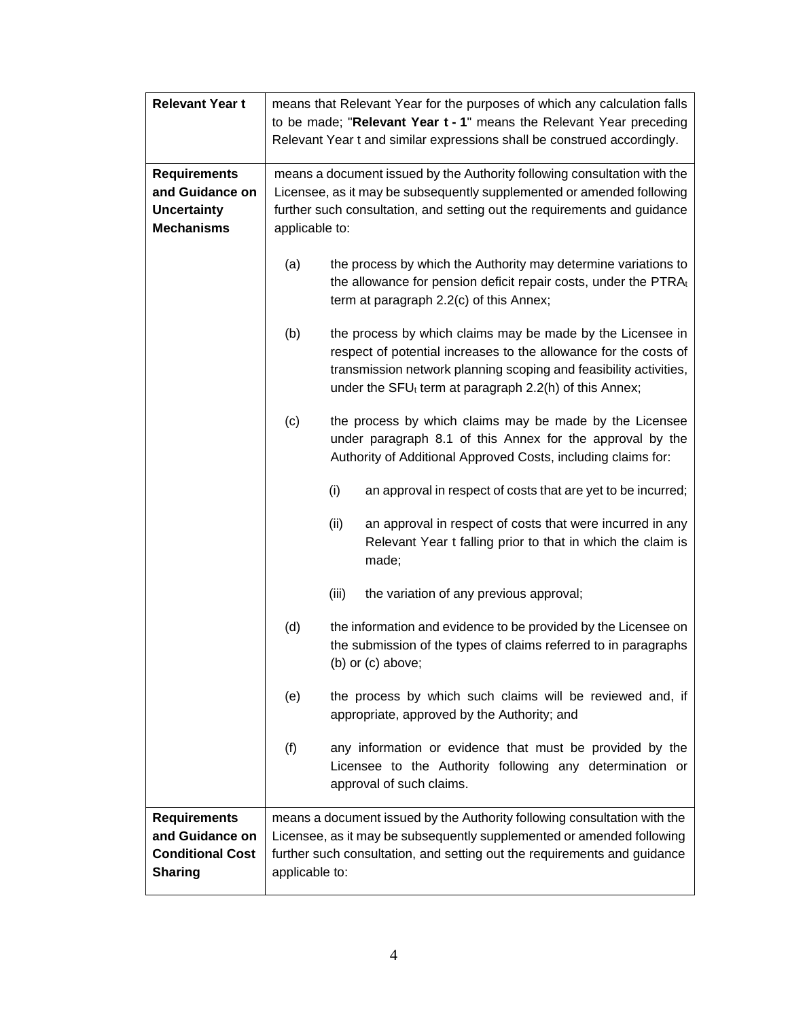| <b>Relevant Year t</b>                                                              |                                                                         | means that Relevant Year for the purposes of which any calculation falls                                                                                                                                                                                         |  |
|-------------------------------------------------------------------------------------|-------------------------------------------------------------------------|------------------------------------------------------------------------------------------------------------------------------------------------------------------------------------------------------------------------------------------------------------------|--|
|                                                                                     | to be made; "Relevant Year t - 1" means the Relevant Year preceding     |                                                                                                                                                                                                                                                                  |  |
|                                                                                     | Relevant Year t and similar expressions shall be construed accordingly. |                                                                                                                                                                                                                                                                  |  |
|                                                                                     |                                                                         |                                                                                                                                                                                                                                                                  |  |
| <b>Requirements</b>                                                                 |                                                                         | means a document issued by the Authority following consultation with the                                                                                                                                                                                         |  |
| and Guidance on                                                                     |                                                                         | Licensee, as it may be subsequently supplemented or amended following                                                                                                                                                                                            |  |
| <b>Uncertainty</b>                                                                  |                                                                         | further such consultation, and setting out the requirements and guidance                                                                                                                                                                                         |  |
| <b>Mechanisms</b>                                                                   | applicable to:                                                          |                                                                                                                                                                                                                                                                  |  |
|                                                                                     | (a)                                                                     | the process by which the Authority may determine variations to<br>the allowance for pension deficit repair costs, under the PTRAt<br>term at paragraph 2.2(c) of this Annex;                                                                                     |  |
|                                                                                     |                                                                         |                                                                                                                                                                                                                                                                  |  |
|                                                                                     | (b)                                                                     | the process by which claims may be made by the Licensee in<br>respect of potential increases to the allowance for the costs of<br>transmission network planning scoping and feasibility activities,<br>under the SFU $t$ term at paragraph 2.2(h) of this Annex; |  |
|                                                                                     | (c)                                                                     | the process by which claims may be made by the Licensee<br>under paragraph 8.1 of this Annex for the approval by the<br>Authority of Additional Approved Costs, including claims for:                                                                            |  |
|                                                                                     |                                                                         | (i)<br>an approval in respect of costs that are yet to be incurred;                                                                                                                                                                                              |  |
|                                                                                     |                                                                         | (ii)<br>an approval in respect of costs that were incurred in any<br>Relevant Year t falling prior to that in which the claim is<br>made;                                                                                                                        |  |
|                                                                                     |                                                                         | the variation of any previous approval;<br>(iii)                                                                                                                                                                                                                 |  |
|                                                                                     | (d)                                                                     | the information and evidence to be provided by the Licensee on<br>the submission of the types of claims referred to in paragraphs<br>(b) or (c) above;                                                                                                           |  |
|                                                                                     | (e)                                                                     | the process by which such claims will be reviewed and, if<br>appropriate, approved by the Authority; and                                                                                                                                                         |  |
|                                                                                     | (f)                                                                     | any information or evidence that must be provided by the<br>Licensee to the Authority following any determination or<br>approval of such claims.                                                                                                                 |  |
| <b>Requirements</b><br>and Guidance on<br><b>Conditional Cost</b><br><b>Sharing</b> | applicable to:                                                          | means a document issued by the Authority following consultation with the<br>Licensee, as it may be subsequently supplemented or amended following<br>further such consultation, and setting out the requirements and guidance                                    |  |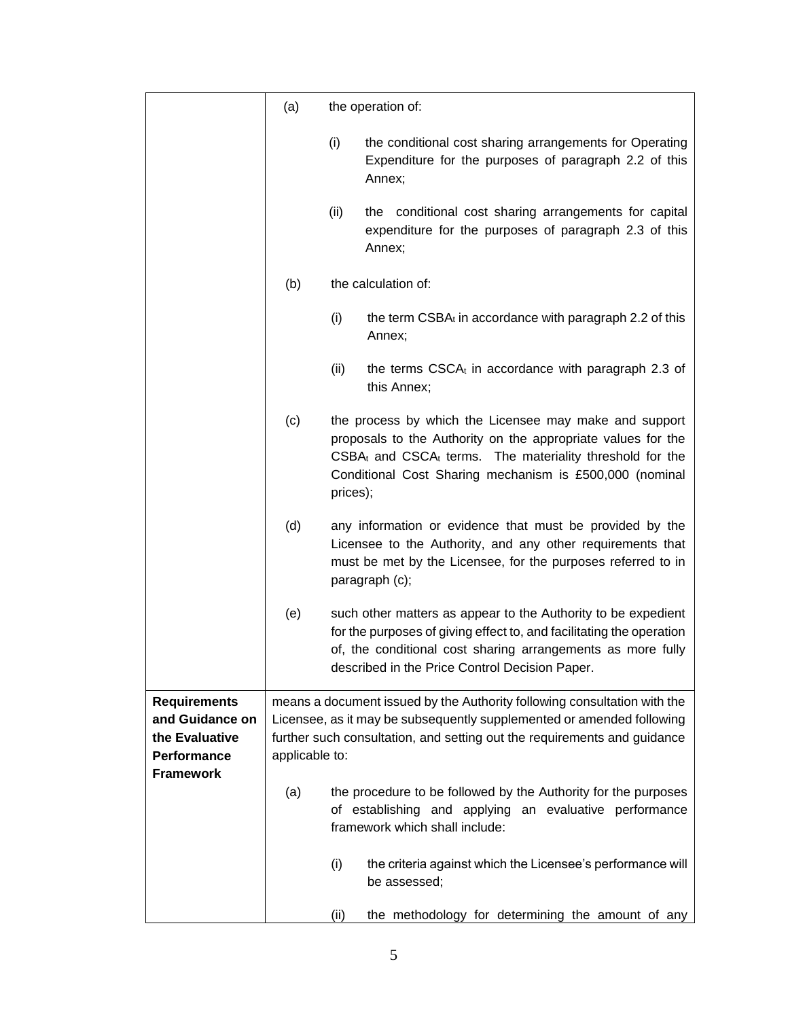|                                                                                             | (a)            | the operation of:                                                                                                                                                                                                                                             |  |  |
|---------------------------------------------------------------------------------------------|----------------|---------------------------------------------------------------------------------------------------------------------------------------------------------------------------------------------------------------------------------------------------------------|--|--|
|                                                                                             |                | (i)<br>the conditional cost sharing arrangements for Operating<br>Expenditure for the purposes of paragraph 2.2 of this<br>Annex;                                                                                                                             |  |  |
|                                                                                             |                | the conditional cost sharing arrangements for capital<br>(ii)<br>expenditure for the purposes of paragraph 2.3 of this<br>Annex;                                                                                                                              |  |  |
|                                                                                             | (b)            | the calculation of:                                                                                                                                                                                                                                           |  |  |
|                                                                                             |                | (i)<br>the term $CSBA_t$ in accordance with paragraph 2.2 of this<br>Annex;                                                                                                                                                                                   |  |  |
|                                                                                             |                | (ii)<br>the terms $CSCAt$ in accordance with paragraph 2.3 of<br>this Annex;                                                                                                                                                                                  |  |  |
|                                                                                             | (c)            | the process by which the Licensee may make and support<br>proposals to the Authority on the appropriate values for the<br>$CSBAt$ and $CSCAt$ terms. The materiality threshold for the<br>Conditional Cost Sharing mechanism is £500,000 (nominal<br>prices); |  |  |
|                                                                                             | (d)            | any information or evidence that must be provided by the<br>Licensee to the Authority, and any other requirements that<br>must be met by the Licensee, for the purposes referred to in<br>paragraph (c);                                                      |  |  |
|                                                                                             | (e)            | such other matters as appear to the Authority to be expedient<br>for the purposes of giving effect to, and facilitating the operation<br>of, the conditional cost sharing arrangements as more fully<br>described in the Price Control Decision Paper.        |  |  |
| <b>Requirements</b><br>and Guidance on<br>the Evaluative<br>Performance<br><b>Framework</b> | applicable to: | means a document issued by the Authority following consultation with the<br>Licensee, as it may be subsequently supplemented or amended following<br>further such consultation, and setting out the requirements and guidance                                 |  |  |
|                                                                                             | (a)            | the procedure to be followed by the Authority for the purposes<br>of establishing and applying an evaluative performance<br>framework which shall include:                                                                                                    |  |  |
|                                                                                             |                | (i)<br>the criteria against which the Licensee's performance will<br>be assessed;                                                                                                                                                                             |  |  |
|                                                                                             |                | (ii)<br>the methodology for determining the amount of any                                                                                                                                                                                                     |  |  |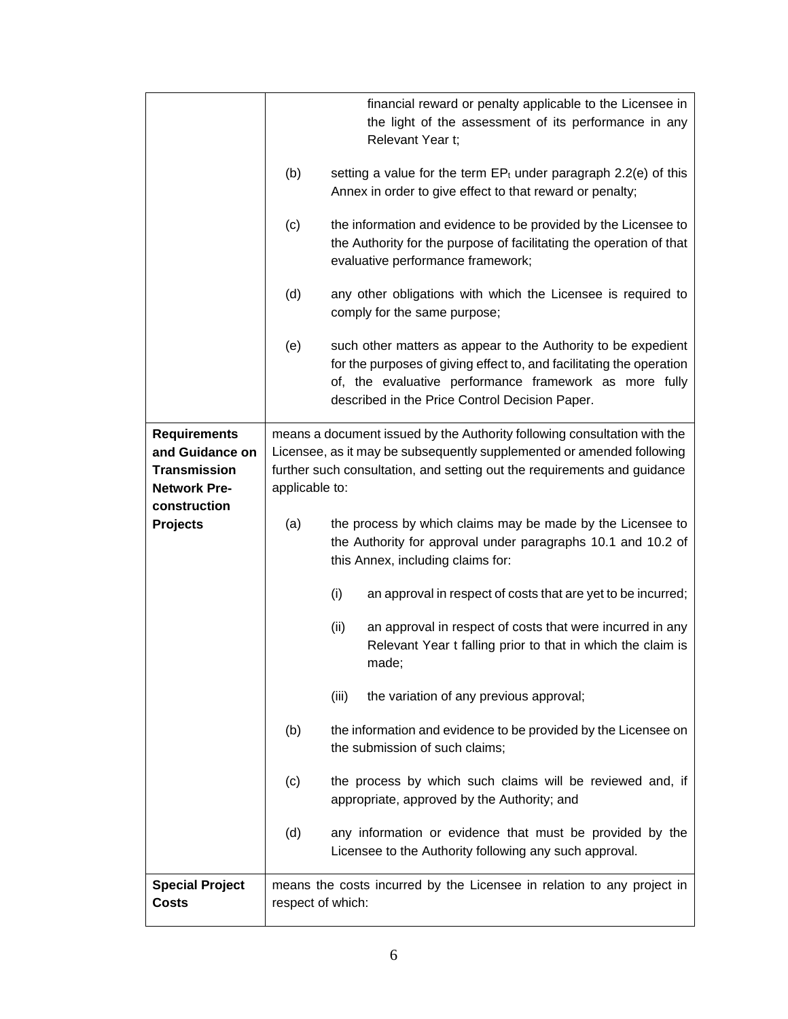|                                                                                                      |                   | financial reward or penalty applicable to the Licensee in<br>the light of the assessment of its performance in any<br>Relevant Year t;                                                                                                            |
|------------------------------------------------------------------------------------------------------|-------------------|---------------------------------------------------------------------------------------------------------------------------------------------------------------------------------------------------------------------------------------------------|
|                                                                                                      | (b)               | setting a value for the term $EP_t$ under paragraph 2.2(e) of this<br>Annex in order to give effect to that reward or penalty;                                                                                                                    |
|                                                                                                      | (c)               | the information and evidence to be provided by the Licensee to<br>the Authority for the purpose of facilitating the operation of that<br>evaluative performance framework;                                                                        |
|                                                                                                      | (d)               | any other obligations with which the Licensee is required to<br>comply for the same purpose;                                                                                                                                                      |
|                                                                                                      | (e)               | such other matters as appear to the Authority to be expedient<br>for the purposes of giving effect to, and facilitating the operation<br>of, the evaluative performance framework as more fully<br>described in the Price Control Decision Paper. |
| <b>Requirements</b><br>and Guidance on<br><b>Transmission</b><br><b>Network Pre-</b><br>construction | applicable to:    | means a document issued by the Authority following consultation with the<br>Licensee, as it may be subsequently supplemented or amended following<br>further such consultation, and setting out the requirements and guidance                     |
| <b>Projects</b>                                                                                      | (a)               | the process by which claims may be made by the Licensee to<br>the Authority for approval under paragraphs 10.1 and 10.2 of<br>this Annex, including claims for:                                                                                   |
|                                                                                                      |                   | (i)<br>an approval in respect of costs that are yet to be incurred;                                                                                                                                                                               |
|                                                                                                      |                   | (ii)<br>an approval in respect of costs that were incurred in any<br>Relevant Year t falling prior to that in which the claim is<br>made;                                                                                                         |
|                                                                                                      |                   | the variation of any previous approval;<br>(iii)                                                                                                                                                                                                  |
|                                                                                                      | (b)               | the information and evidence to be provided by the Licensee on<br>the submission of such claims;                                                                                                                                                  |
|                                                                                                      | (c)               | the process by which such claims will be reviewed and, if<br>appropriate, approved by the Authority; and                                                                                                                                          |
|                                                                                                      | (d)               | any information or evidence that must be provided by the<br>Licensee to the Authority following any such approval.                                                                                                                                |
| <b>Special Project</b><br><b>Costs</b>                                                               | respect of which: | means the costs incurred by the Licensee in relation to any project in                                                                                                                                                                            |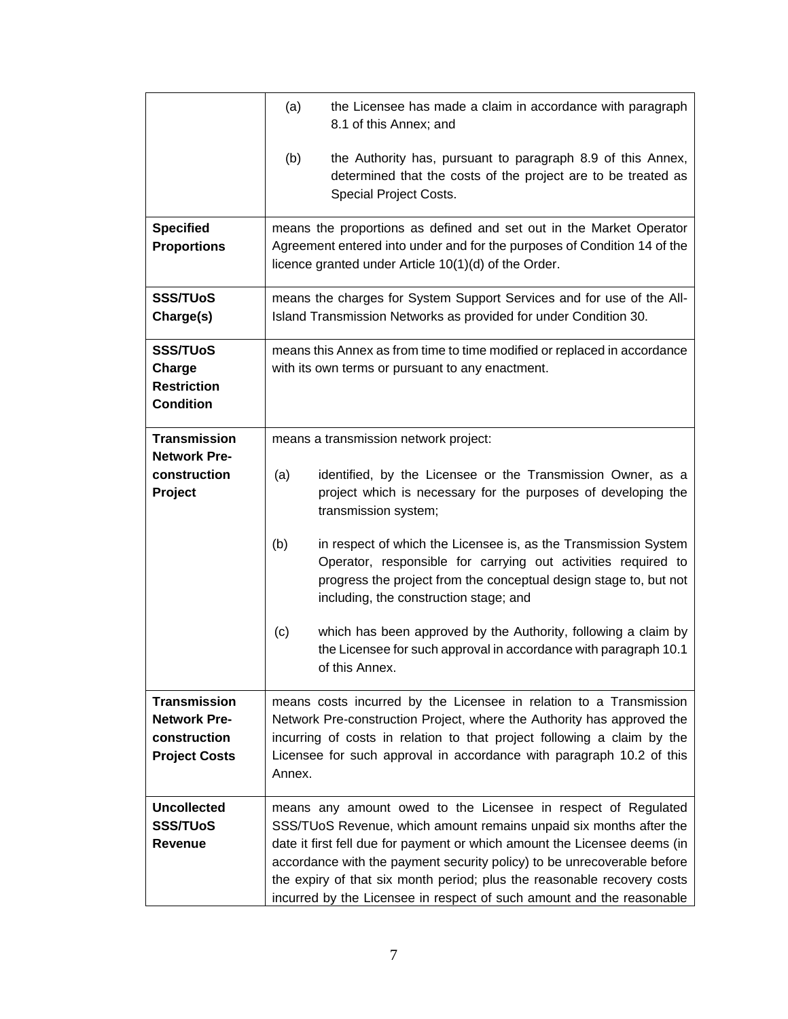|                                                                                    | (a)<br>the Licensee has made a claim in accordance with paragraph<br>8.1 of this Annex; and                                                                                                                                                                                                                                                                                                                                                     |
|------------------------------------------------------------------------------------|-------------------------------------------------------------------------------------------------------------------------------------------------------------------------------------------------------------------------------------------------------------------------------------------------------------------------------------------------------------------------------------------------------------------------------------------------|
|                                                                                    | (b)<br>the Authority has, pursuant to paragraph 8.9 of this Annex,<br>determined that the costs of the project are to be treated as<br>Special Project Costs.                                                                                                                                                                                                                                                                                   |
| <b>Specified</b><br><b>Proportions</b>                                             | means the proportions as defined and set out in the Market Operator<br>Agreement entered into under and for the purposes of Condition 14 of the<br>licence granted under Article 10(1)(d) of the Order.                                                                                                                                                                                                                                         |
| <b>SSS/TUoS</b><br>Charge(s)                                                       | means the charges for System Support Services and for use of the All-<br>Island Transmission Networks as provided for under Condition 30.                                                                                                                                                                                                                                                                                                       |
| <b>SSS/TUoS</b><br>Charge<br><b>Restriction</b><br><b>Condition</b>                | means this Annex as from time to time modified or replaced in accordance<br>with its own terms or pursuant to any enactment.                                                                                                                                                                                                                                                                                                                    |
| <b>Transmission</b><br><b>Network Pre-</b>                                         | means a transmission network project:                                                                                                                                                                                                                                                                                                                                                                                                           |
| construction<br>Project                                                            | identified, by the Licensee or the Transmission Owner, as a<br>(a)<br>project which is necessary for the purposes of developing the<br>transmission system;                                                                                                                                                                                                                                                                                     |
|                                                                                    | (b)<br>in respect of which the Licensee is, as the Transmission System<br>Operator, responsible for carrying out activities required to<br>progress the project from the conceptual design stage to, but not<br>including, the construction stage; and                                                                                                                                                                                          |
|                                                                                    | which has been approved by the Authority, following a claim by<br>(c)<br>the Licensee for such approval in accordance with paragraph 10.1<br>of this Annex.                                                                                                                                                                                                                                                                                     |
| <b>Transmission</b><br><b>Network Pre-</b><br>construction<br><b>Project Costs</b> | means costs incurred by the Licensee in relation to a Transmission<br>Network Pre-construction Project, where the Authority has approved the<br>incurring of costs in relation to that project following a claim by the<br>Licensee for such approval in accordance with paragraph 10.2 of this<br>Annex.                                                                                                                                       |
| <b>Uncollected</b><br><b>SSS/TUoS</b><br><b>Revenue</b>                            | means any amount owed to the Licensee in respect of Regulated<br>SSS/TUoS Revenue, which amount remains unpaid six months after the<br>date it first fell due for payment or which amount the Licensee deems (in<br>accordance with the payment security policy) to be unrecoverable before<br>the expiry of that six month period; plus the reasonable recovery costs<br>incurred by the Licensee in respect of such amount and the reasonable |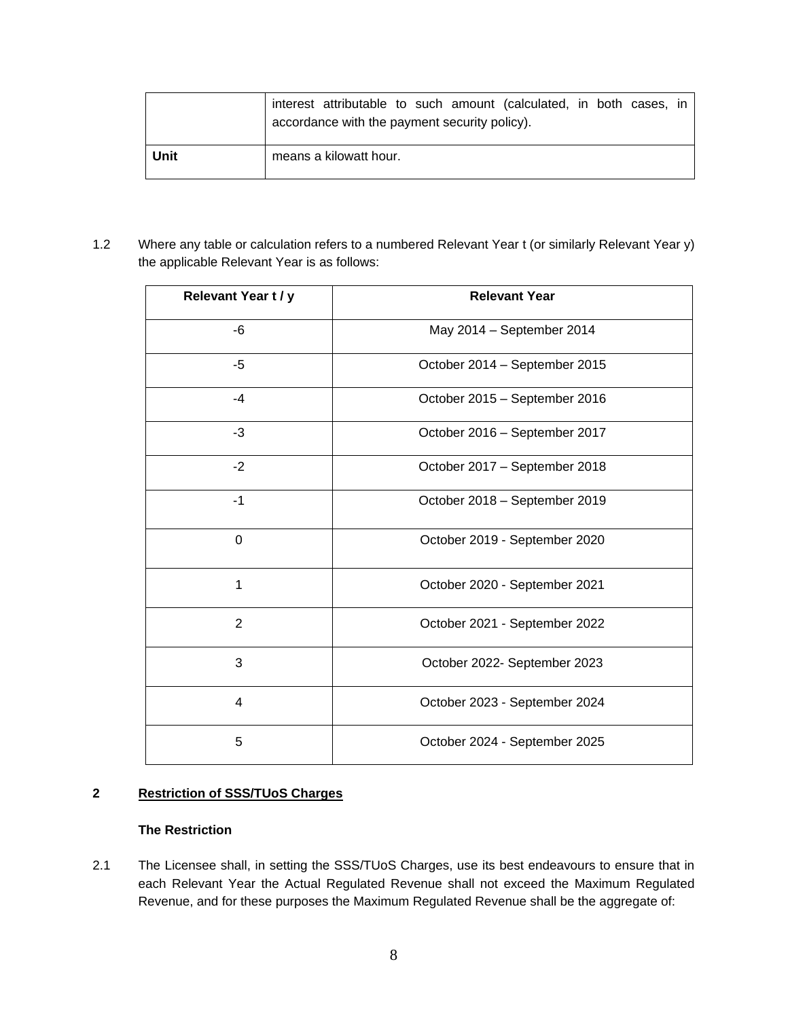|      | interest attributable to such amount (calculated, in both cases, in<br>accordance with the payment security policy). |
|------|----------------------------------------------------------------------------------------------------------------------|
| Unit | means a kilowatt hour.                                                                                               |

1.2 Where any table or calculation refers to a numbered Relevant Year t (or similarly Relevant Year y) the applicable Relevant Year is as follows:

| Relevant Year t / y | <b>Relevant Year</b>          |
|---------------------|-------------------------------|
| -6                  | May 2014 - September 2014     |
| -5                  | October 2014 - September 2015 |
| $-4$                | October 2015 - September 2016 |
| $-3$                | October 2016 - September 2017 |
| $-2$                | October 2017 - September 2018 |
| $-1$                | October 2018 - September 2019 |
| $\mathbf 0$         | October 2019 - September 2020 |
| 1                   | October 2020 - September 2021 |
| $\overline{2}$      | October 2021 - September 2022 |
| 3                   | October 2022- September 2023  |
| 4                   | October 2023 - September 2024 |
| 5                   | October 2024 - September 2025 |

## **2 Restriction of SSS/TUoS Charges**

## **The Restriction**

2.1 The Licensee shall, in setting the SSS/TUoS Charges, use its best endeavours to ensure that in each Relevant Year the Actual Regulated Revenue shall not exceed the Maximum Regulated Revenue, and for these purposes the Maximum Regulated Revenue shall be the aggregate of: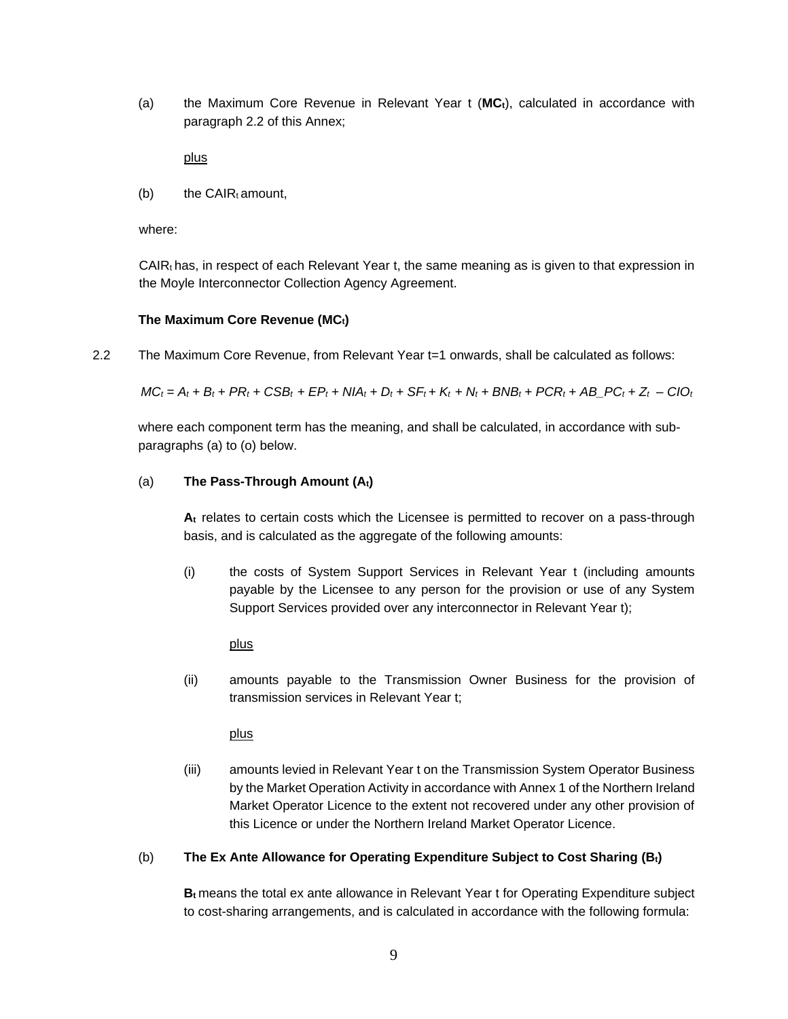(a) the Maximum Core Revenue in Relevant Year t (**MCt**), calculated in accordance with paragraph 2.2 of this Annex;

plus

 $(b)$  the CAIR $<sub>t</sub>$  amount.</sub>

where:

 $CAR<sub>t</sub>$  has, in respect of each Relevant Year t, the same meaning as is given to that expression in the Moyle Interconnector Collection Agency Agreement.

### **The Maximum Core Revenue (MCt)**

2.2 The Maximum Core Revenue, from Relevant Year t=1 onwards, shall be calculated as follows:

 $MC_t = A_t + B_t + PR_t + CSB_t + EP_t + NIA_t + D_t + SF_t + K_t + N_t + BNB_t + PCR_t + AB\_PC_t + Z_t - CIO_t$ 

where each component term has the meaning, and shall be calculated, in accordance with subparagraphs (a) to (o) below.

### (a) **The Pass-Through Amount (At)**

**A<sup>t</sup>** relates to certain costs which the Licensee is permitted to recover on a pass-through basis, and is calculated as the aggregate of the following amounts:

(i) the costs of System Support Services in Relevant Year t (including amounts payable by the Licensee to any person for the provision or use of any System Support Services provided over any interconnector in Relevant Year t);

plus

(ii) amounts payable to the Transmission Owner Business for the provision of transmission services in Relevant Year t;

plus

(iii) amounts levied in Relevant Year t on the Transmission System Operator Business by the Market Operation Activity in accordance with Annex 1 of the Northern Ireland Market Operator Licence to the extent not recovered under any other provision of this Licence or under the Northern Ireland Market Operator Licence.

## (b) **The Ex Ante Allowance for Operating Expenditure Subject to Cost Sharing (Bt)**

**B<sup>t</sup>** means the total ex ante allowance in Relevant Year t for Operating Expenditure subject to cost-sharing arrangements, and is calculated in accordance with the following formula: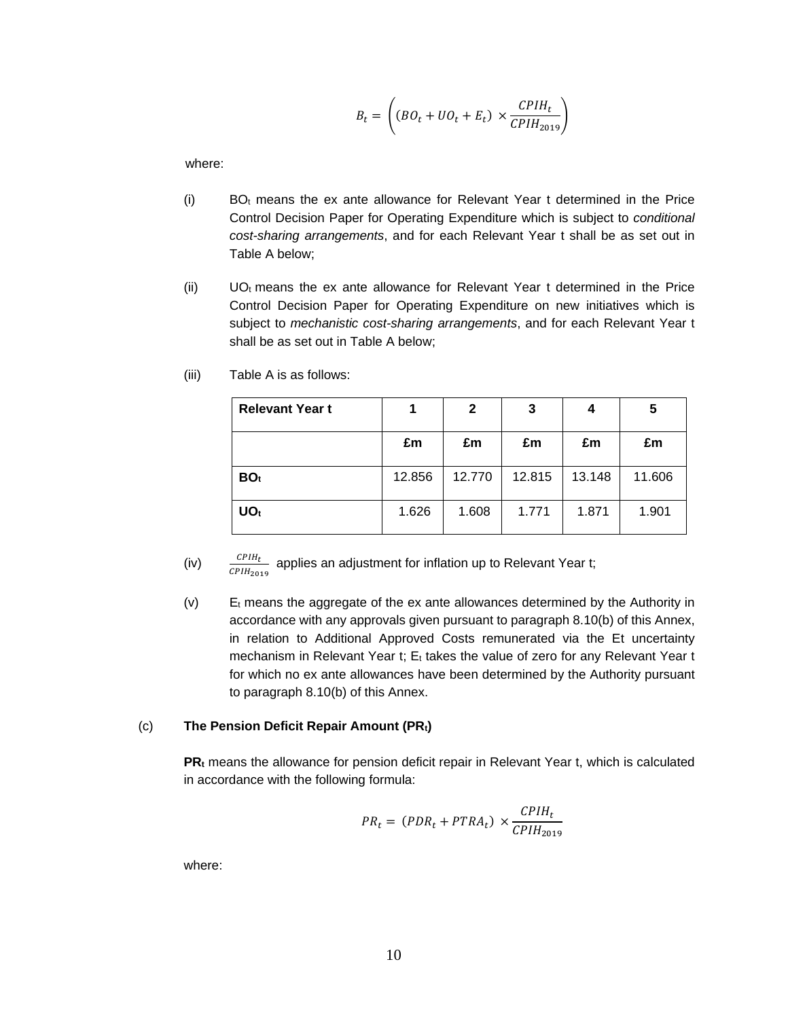$$
B_t = \left( (BO_t + UO_t + E_t) \times \frac{CPIH_t}{CPIH_{2019}} \right)
$$

where:

- $(i)$  BO<sub>t</sub> means the ex ante allowance for Relevant Year t determined in the Price Control Decision Paper for Operating Expenditure which is subject to *conditional cost-sharing arrangements*, and for each Relevant Year t shall be as set out in Table A below;
- (ii)  $UO<sub>t</sub>$  means the ex ante allowance for Relevant Year t determined in the Price Control Decision Paper for Operating Expenditure on new initiatives which is subject to *mechanistic cost-sharing arrangements*, and for each Relevant Year t shall be as set out in Table A below;

| <b>Relevant Year t</b> |        | $\mathbf{2}$ | 3      | 4      | 5      |
|------------------------|--------|--------------|--------|--------|--------|
|                        | £m     | £m           | £m     | £m     | £m     |
| BO <sub>t</sub>        | 12.856 | 12.770       | 12.815 | 13.148 | 11.606 |
| UO <sub>t</sub>        | 1.626  | 1.608        | 1.771  | 1.871  | 1.901  |

(iii) Table A is as follows:

- (iv)  $\frac{CPIH_t}{2\pi W}$  applies an adjustment for inflation up to Relevant Year t;  $CPIH<sub>2019</sub>$
- (v)  $E_t$  means the aggregate of the ex ante allowances determined by the Authority in accordance with any approvals given pursuant to paragraph 8.10(b) of this Annex, in relation to Additional Approved Costs remunerated via the Et uncertainty mechanism in Relevant Year t; Et takes the value of zero for any Relevant Year t for which no ex ante allowances have been determined by the Authority pursuant to paragraph 8.10(b) of this Annex.

#### (c) **The Pension Deficit Repair Amount (PRt)**

**PR<sup>t</sup>** means the allowance for pension deficit repair in Relevant Year t, which is calculated in accordance with the following formula:

$$
PR_t = (PDR_t + PTRA_t) \times \frac{CPIH_t}{CPIH_{2019}}
$$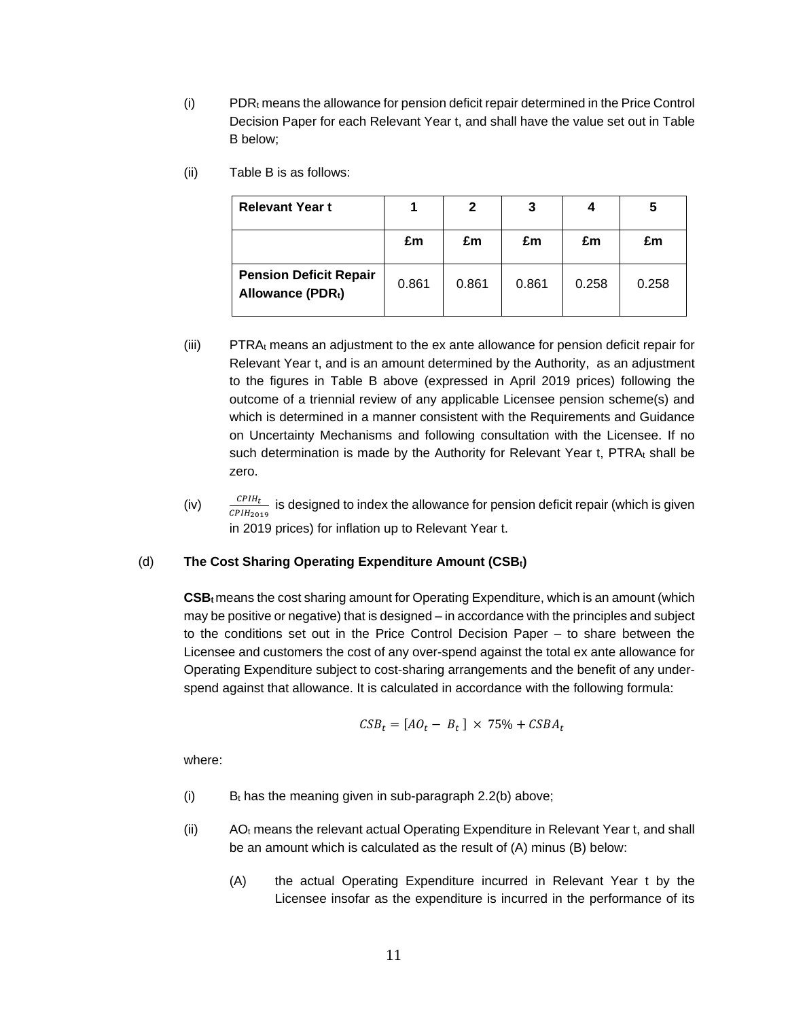- (i) PDR<sub>t</sub> means the allowance for pension deficit repair determined in the Price Control Decision Paper for each Relevant Year t, and shall have the value set out in Table B below;
- (ii) Table B is as follows:

| <b>Relevant Year t</b>                            |       | 2     | 3     | 4     | 5     |
|---------------------------------------------------|-------|-------|-------|-------|-------|
|                                                   | £m    | £m    | £m    | £m    | £m    |
| <b>Pension Deficit Repair</b><br>Allowance (PDRt) | 0.861 | 0.861 | 0.861 | 0.258 | 0.258 |

- $(iii)$  PTRA $<sub>t</sub>$  means an adjustment to the ex ante allowance for pension deficit repair for</sub> Relevant Year t, and is an amount determined by the Authority, as an adjustment to the figures in Table B above (expressed in April 2019 prices) following the outcome of a triennial review of any applicable Licensee pension scheme(s) and which is determined in a manner consistent with the Requirements and Guidance on Uncertainty Mechanisms and following consultation with the Licensee. If no such determination is made by the Authority for Relevant Year t, PTRAt shall be zero.
- (iv)  $\frac{CPIH_t}{CPIH_t}$  is designed to index the allowance for pension deficit repair (which is given  $\mathcal{C}\mathcal{P}IH_{2019}$ in 2019 prices) for inflation up to Relevant Year t.

#### (d) **The Cost Sharing Operating Expenditure Amount (CSBt)**

**CSBt**means the cost sharing amount for Operating Expenditure, which is an amount (which may be positive or negative) that is designed – in accordance with the principles and subject to the conditions set out in the Price Control Decision Paper – to share between the Licensee and customers the cost of any over-spend against the total ex ante allowance for Operating Expenditure subject to cost-sharing arrangements and the benefit of any underspend against that allowance. It is calculated in accordance with the following formula:

$$
CSB_t = [AO_t - B_t] \times 75\% + CSBA_t
$$

- (i) B<sub>t</sub> has the meaning given in sub-paragraph 2.2(b) above;
- $(i)$  AO<sub>t</sub> means the relevant actual Operating Expenditure in Relevant Year t, and shall be an amount which is calculated as the result of (A) minus (B) below:
	- (A) the actual Operating Expenditure incurred in Relevant Year t by the Licensee insofar as the expenditure is incurred in the performance of its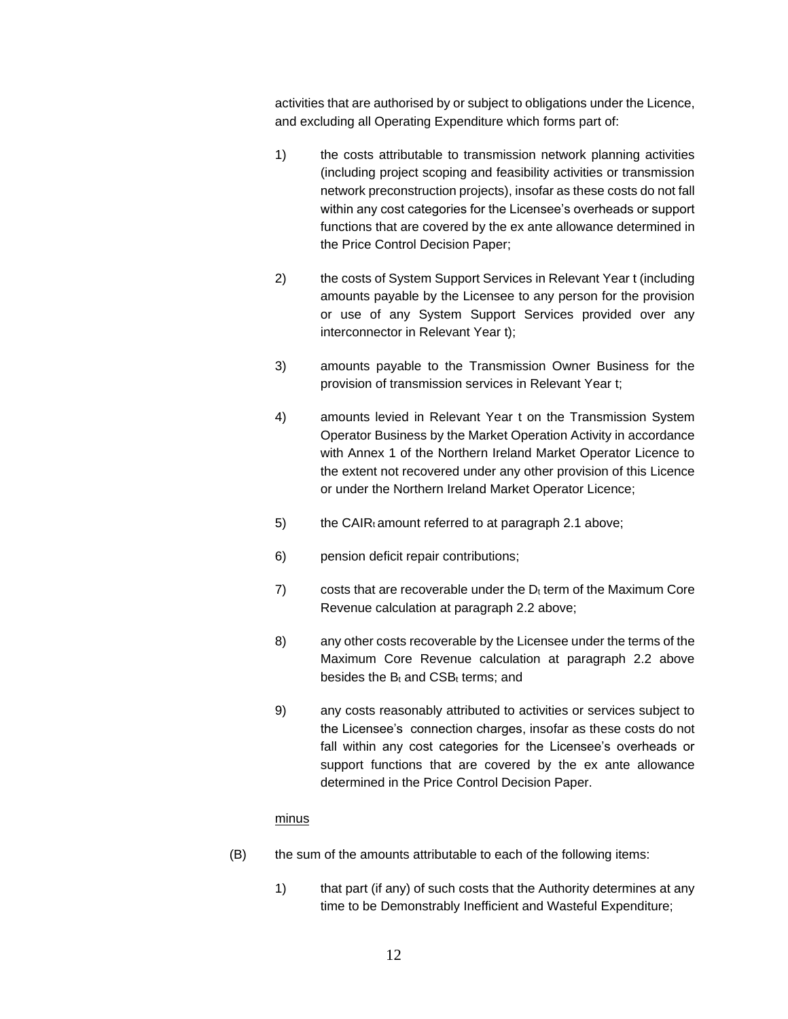activities that are authorised by or subject to obligations under the Licence, and excluding all Operating Expenditure which forms part of:

- 1) the costs attributable to transmission network planning activities (including project scoping and feasibility activities or transmission network preconstruction projects), insofar as these costs do not fall within any cost categories for the Licensee's overheads or support functions that are covered by the ex ante allowance determined in the Price Control Decision Paper;
- 2) the costs of System Support Services in Relevant Year t (including amounts payable by the Licensee to any person for the provision or use of any System Support Services provided over any interconnector in Relevant Year t);
- 3) amounts payable to the Transmission Owner Business for the provision of transmission services in Relevant Year t;
- 4) amounts levied in Relevant Year t on the Transmission System Operator Business by the Market Operation Activity in accordance with Annex 1 of the Northern Ireland Market Operator Licence to the extent not recovered under any other provision of this Licence or under the Northern Ireland Market Operator Licence;
- 5) the CAIRt amount referred to at paragraph 2.1 above;
- 6) pension deficit repair contributions;
- 7) costs that are recoverable under the  $D_t$  term of the Maximum Core Revenue calculation at paragraph 2.2 above;
- 8) any other costs recoverable by the Licensee under the terms of the Maximum Core Revenue calculation at paragraph 2.2 above besides the  $B_t$  and  $CSB_t$  terms; and
- 9) any costs reasonably attributed to activities or services subject to the Licensee's connection charges, insofar as these costs do not fall within any cost categories for the Licensee's overheads or support functions that are covered by the ex ante allowance determined in the Price Control Decision Paper.

#### minus

- (B) the sum of the amounts attributable to each of the following items:
	- 1) that part (if any) of such costs that the Authority determines at any time to be Demonstrably Inefficient and Wasteful Expenditure;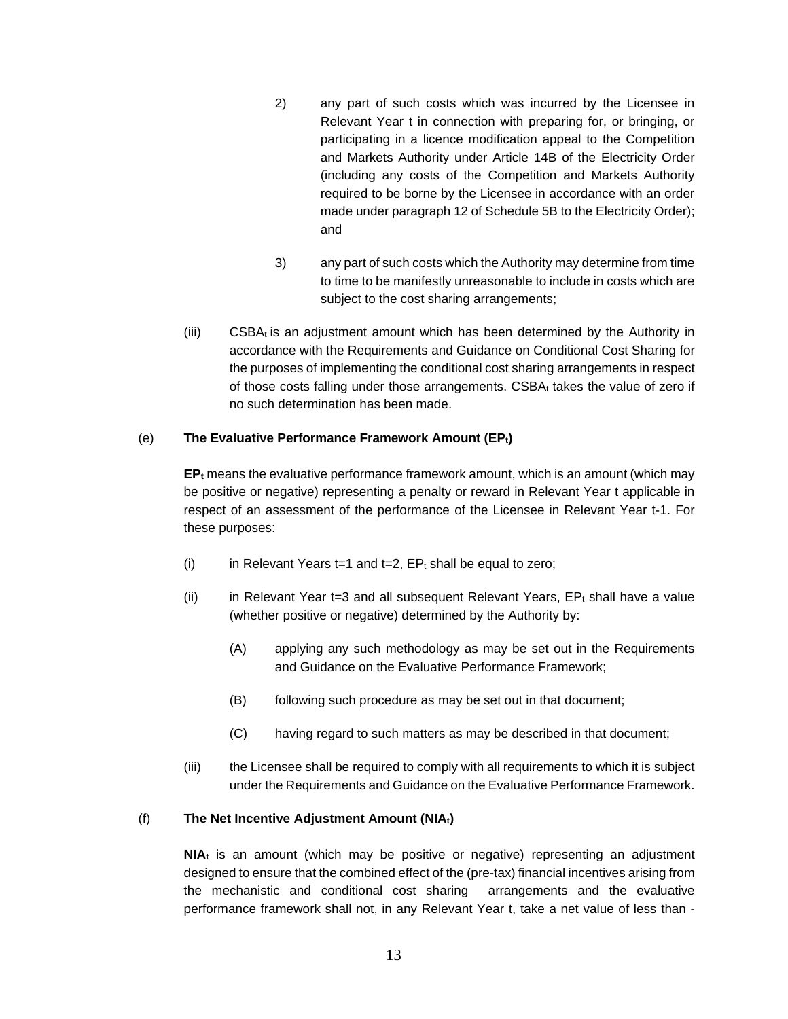- 2) any part of such costs which was incurred by the Licensee in Relevant Year t in connection with preparing for, or bringing, or participating in a licence modification appeal to the Competition and Markets Authority under Article 14B of the Electricity Order (including any costs of the Competition and Markets Authority required to be borne by the Licensee in accordance with an order made under paragraph 12 of Schedule 5B to the Electricity Order); and
- 3) any part of such costs which the Authority may determine from time to time to be manifestly unreasonable to include in costs which are subject to the cost sharing arrangements;
- $(iii)$  CSBA $<sub>t</sub>$  is an adjustment amount which has been determined by the Authority in</sub> accordance with the Requirements and Guidance on Conditional Cost Sharing for the purposes of implementing the conditional cost sharing arrangements in respect of those costs falling under those arrangements. CSBA<sup>t</sup> takes the value of zero if no such determination has been made.

## (e) **The Evaluative Performance Framework Amount (EPt)**

**EP<sup>t</sup>** means the evaluative performance framework amount, which is an amount (which may be positive or negative) representing a penalty or reward in Relevant Year t applicable in respect of an assessment of the performance of the Licensee in Relevant Year t-1. For these purposes:

- (i) in Relevant Years t=1 and t=2,  $EP_t$  shall be equal to zero;
- (ii) in Relevant Year t=3 and all subsequent Relevant Years,  $EP<sub>t</sub>$  shall have a value (whether positive or negative) determined by the Authority by:
	- (A) applying any such methodology as may be set out in the Requirements and Guidance on the Evaluative Performance Framework;
	- (B) following such procedure as may be set out in that document;
	- (C) having regard to such matters as may be described in that document;
- (iii) the Licensee shall be required to comply with all requirements to which it is subject under the Requirements and Guidance on the Evaluative Performance Framework.

#### (f) **The Net Incentive Adjustment Amount (NIAt)**

**NIA<sup>t</sup>** is an amount (which may be positive or negative) representing an adjustment designed to ensure that the combined effect of the (pre-tax) financial incentives arising from the mechanistic and conditional cost sharing arrangements and the evaluative performance framework shall not, in any Relevant Year t, take a net value of less than -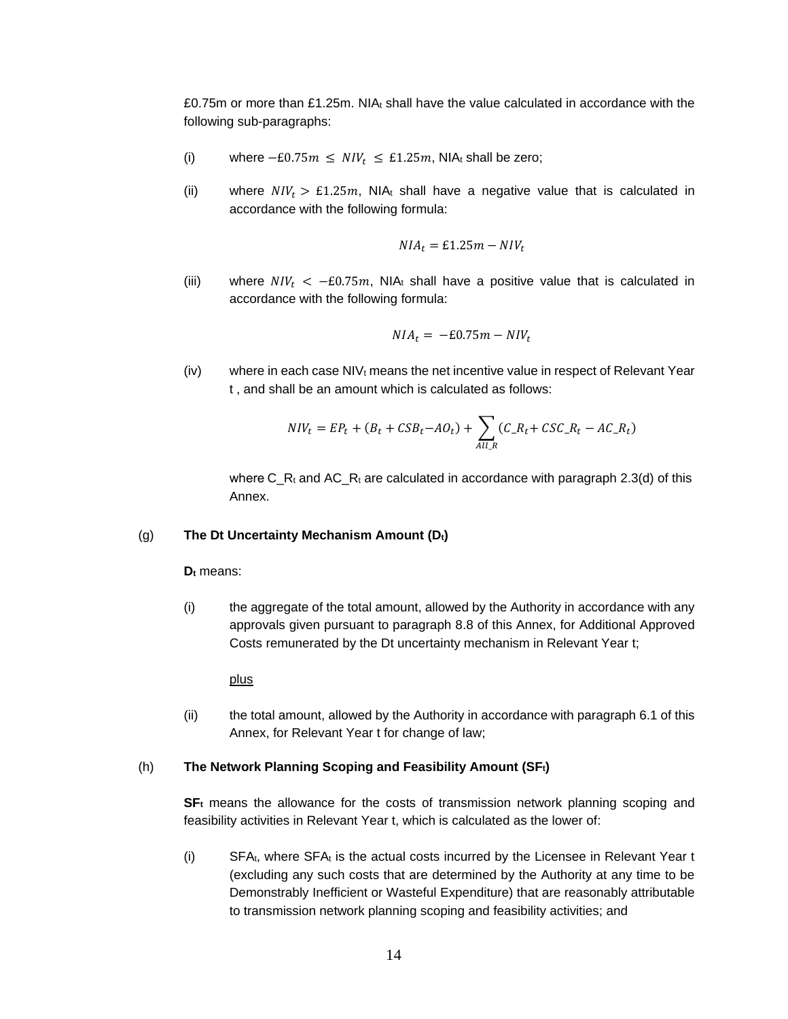£0.75m or more than £1.25m. NI $A_t$  shall have the value calculated in accordance with the following sub-paragraphs:

- (i) where  $-E0.75m \leq NIV_t \leq E1.25m$ , NIAt shall be zero;
- (ii) where  $NIV_t > E1.25m$ , NIAt shall have a negative value that is calculated in accordance with the following formula:

$$
NIA_t = \pounds1.25m - NIV_t
$$

(iii) where  $NIV_t < -E0.75m$ , NIA<sub>t</sub> shall have a positive value that is calculated in accordance with the following formula:

$$
NIA_t = -E0.75m - NIV_t
$$

 $(iv)$  where in each case NIV<sub>t</sub> means the net incentive value in respect of Relevant Year t , and shall be an amount which is calculated as follows:

$$
NIV_t = EP_t + (B_t + CSB_t - AO_t) + \sum_{All,R} (C_R_t + CSC_R_t - AC_R_t)
$$

where C\_R<sub>t</sub> and AC\_R<sub>t</sub> are calculated in accordance with paragraph 2.3(d) of this Annex.

#### (g) **The Dt Uncertainty Mechanism Amount (Dt)**

**D<sup>t</sup>** means:

(i) the aggregate of the total amount, allowed by the Authority in accordance with any approvals given pursuant to paragraph 8.8 of this Annex, for Additional Approved Costs remunerated by the Dt uncertainty mechanism in Relevant Year t;

plus

(ii) the total amount, allowed by the Authority in accordance with paragraph 6.1 of this Annex, for Relevant Year t for change of law;

#### (h) **The Network Planning Scoping and Feasibility Amount (SFt)**

**SF<sup>t</sup>** means the allowance for the costs of transmission network planning scoping and feasibility activities in Relevant Year t, which is calculated as the lower of:

 $(i)$  SFA<sub>t</sub>, where SFA<sub>t</sub> is the actual costs incurred by the Licensee in Relevant Year t (excluding any such costs that are determined by the Authority at any time to be Demonstrably Inefficient or Wasteful Expenditure) that are reasonably attributable to transmission network planning scoping and feasibility activities; and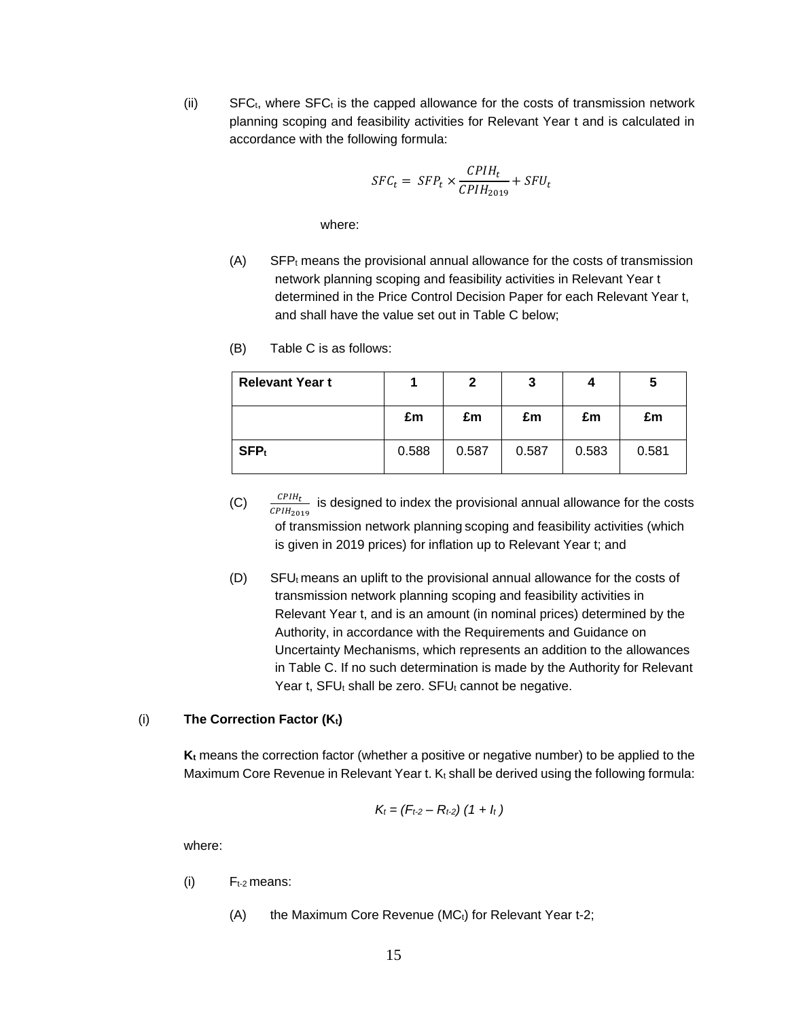(ii) SFC $t$ , where SFC $<sub>t</sub>$  is the capped allowance for the costs of transmission network</sub> planning scoping and feasibility activities for Relevant Year t and is calculated in accordance with the following formula:

$$
SFC_t = SFP_t \times \frac{CPIH_t}{CPIH_{2019}} + SFU_t
$$

where:

- $(A)$  SFP<sub>t</sub> means the provisional annual allowance for the costs of transmission network planning scoping and feasibility activities in Relevant Year t determined in the Price Control Decision Paper for each Relevant Year t, and shall have the value set out in Table C below;
- **Relevant Year t 1 2 3 4 5 £m £m £m £m £m SFP** $_{\rm t}$  **0.588 0.587 0.587 0.583 0.581**
- (B) Table C is as follows:

- (C)  $\frac{CPIH_t}{CPIH_t}$  is designed to index the provisional annual allowance for the costs  $\overline{CPIH_{2019}}$ of transmission network planning scoping and feasibility activities (which is given in 2019 prices) for inflation up to Relevant Year t; and
- $(D)$  SFU<sub>t</sub> means an uplift to the provisional annual allowance for the costs of transmission network planning scoping and feasibility activities in Relevant Year t, and is an amount (in nominal prices) determined by the Authority, in accordance with the Requirements and Guidance on Uncertainty Mechanisms, which represents an addition to the allowances in Table C. If no such determination is made by the Authority for Relevant Year t,  $SFU_t$  shall be zero.  $SFU_t$  cannot be negative.

#### (i) **The Correction Factor (Kt)**

**K<sup>t</sup>** means the correction factor (whether a positive or negative number) to be applied to the Maximum Core Revenue in Relevant Year t. Kt shall be derived using the following formula:

$$
K_t = (F_{t-2} - R_{t-2}) (1 + l_t)
$$

- $(i)$   $F_{t-2}$  means:
	- $(A)$  the Maximum Core Revenue (MC $<sub>t</sub>$ ) for Relevant Year t-2;</sub>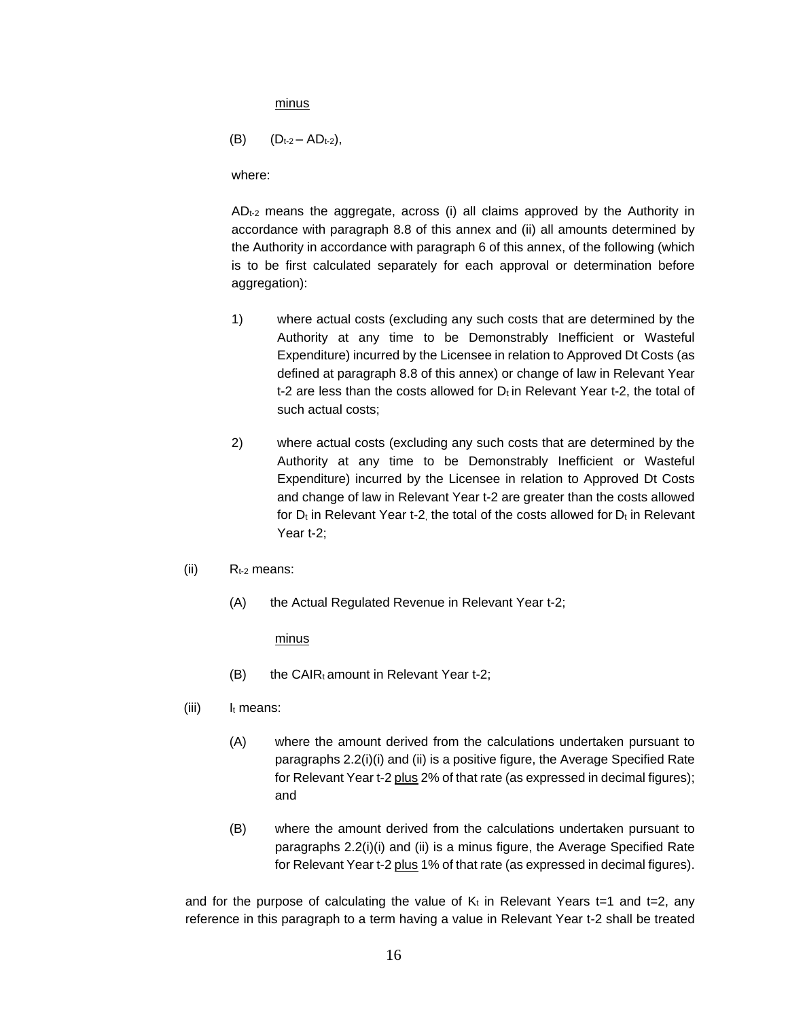minus

$$
(B) \qquad (D_{t-2}-AD_{t-2}),
$$

where:

ADt-2 means the aggregate, across (i) all claims approved by the Authority in accordance with paragraph 8.8 of this annex and (ii) all amounts determined by the Authority in accordance with paragraph 6 of this annex, of the following (which is to be first calculated separately for each approval or determination before aggregation):

- 1) where actual costs (excluding any such costs that are determined by the Authority at any time to be Demonstrably Inefficient or Wasteful Expenditure) incurred by the Licensee in relation to Approved Dt Costs (as defined at paragraph 8.8 of this annex) or change of law in Relevant Year t-2 are less than the costs allowed for  $D_t$  in Relevant Year t-2, the total of such actual costs;
- 2) where actual costs (excluding any such costs that are determined by the Authority at any time to be Demonstrably Inefficient or Wasteful Expenditure) incurred by the Licensee in relation to Approved Dt Costs and change of law in Relevant Year t-2 are greater than the costs allowed for  $D_t$  in Relevant Year t-2, the total of the costs allowed for  $D_t$  in Relevant Year t-2;
- $(iii)$  R<sub>t-2</sub> means:
	- (A) the Actual Regulated Revenue in Relevant Year t-2;

minus

- $(B)$  the CAIRt amount in Relevant Year t-2;
- $(iii)$   $I_t$  means:
	- (A) where the amount derived from the calculations undertaken pursuant to paragraphs 2.2(i)(i) and (ii) is a positive figure, the Average Specified Rate for Relevant Year t-2 plus 2% of that rate (as expressed in decimal figures); and
	- (B) where the amount derived from the calculations undertaken pursuant to paragraphs 2.2(i)(i) and (ii) is a minus figure, the Average Specified Rate for Relevant Year t-2 plus 1% of that rate (as expressed in decimal figures).

and for the purpose of calculating the value of  $K_t$  in Relevant Years t=1 and t=2, any reference in this paragraph to a term having a value in Relevant Year t-2 shall be treated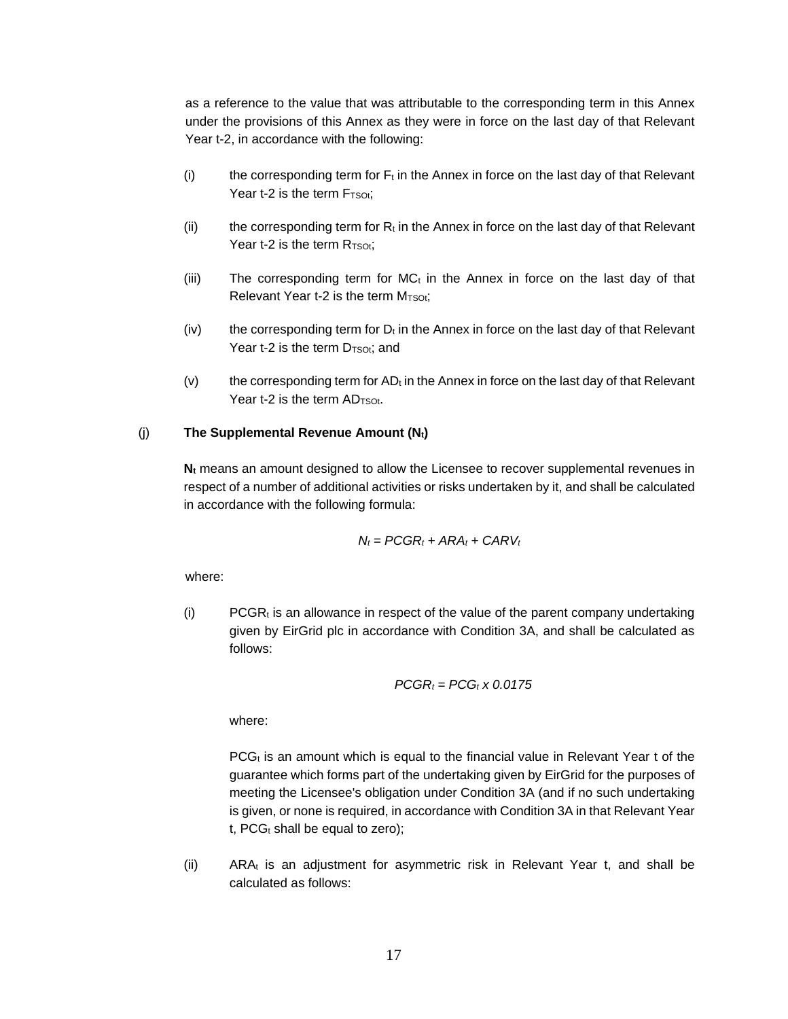as a reference to the value that was attributable to the corresponding term in this Annex under the provisions of this Annex as they were in force on the last day of that Relevant Year t-2, in accordance with the following:

- (i) the corresponding term for  $F_t$  in the Annex in force on the last day of that Relevant Year  $t-2$  is the term  $F_{TSOt}$ :
- (ii) the corresponding term for  $R_t$  in the Annex in force on the last day of that Relevant Year t-2 is the term  $R_{TSOt}$ ;
- (iii) The corresponding term for  $MC_t$  in the Annex in force on the last day of that Relevant Year  $t-2$  is the term  $M<sub>TSOt</sub>;$
- $(iv)$  the corresponding term for  $D_t$  in the Annex in force on the last day of that Relevant Year t-2 is the term  $D_{TSOt}$ ; and
- $(v)$  the corresponding term for AD<sub>t</sub> in the Annex in force on the last day of that Relevant Year t-2 is the term  $AD<sub>TSOt</sub>$ .

#### (j) **The Supplemental Revenue Amount (Nt)**

**N<sup>t</sup>** means an amount designed to allow the Licensee to recover supplemental revenues in respect of a number of additional activities or risks undertaken by it, and shall be calculated in accordance with the following formula:

$$
N_t = PCGR_t + ARA_t + CARV_t
$$

where:

 $(i)$  PCGR<sub>t</sub> is an allowance in respect of the value of the parent company undertaking given by EirGrid plc in accordance with Condition 3A, and shall be calculated as follows:

$$
PCGR_t = PCG_t \times 0.0175
$$

where:

 $PCG<sub>t</sub>$  is an amount which is equal to the financial value in Relevant Year t of the guarantee which forms part of the undertaking given by EirGrid for the purposes of meeting the Licensee's obligation under Condition 3A (and if no such undertaking is given, or none is required, in accordance with Condition 3A in that Relevant Year t,  $PCG_t$  shall be equal to zero);

(ii)  $ARA<sub>t</sub>$  is an adjustment for asymmetric risk in Relevant Year t, and shall be calculated as follows: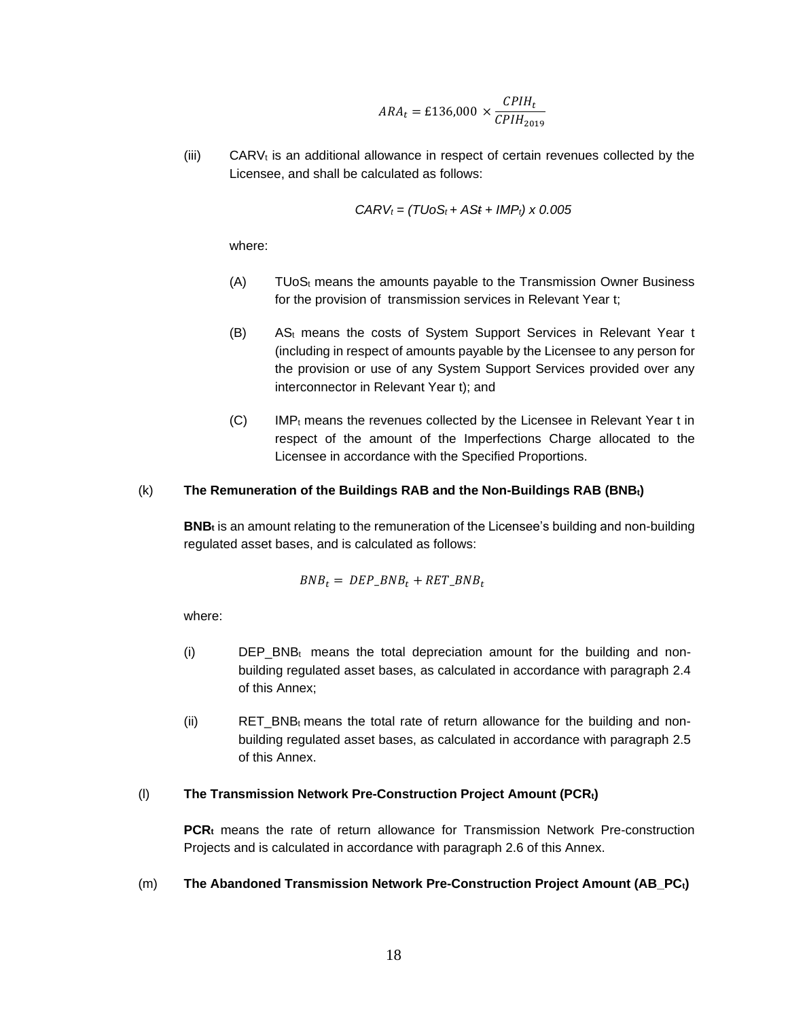$$
ARA_t = \pounds136,000 \times \frac{CPIH_t}{CPIH_{2019}}
$$

 $(iii)$  CARV<sub>t</sub> is an additional allowance in respect of certain revenues collected by the Licensee, and shall be calculated as follows:

$$
CARV_t = (TUoS_t + ASt + IMP_t) \times 0.005
$$

where:

- $(A)$  TUoS<sub>t</sub> means the amounts payable to the Transmission Owner Business for the provision of transmission services in Relevant Year t;
- (B) AS<sup>t</sup> means the costs of System Support Services in Relevant Year t (including in respect of amounts payable by the Licensee to any person for the provision or use of any System Support Services provided over any interconnector in Relevant Year t); and
- $(C)$  IMP<sub>t</sub> means the revenues collected by the Licensee in Relevant Year t in respect of the amount of the Imperfections Charge allocated to the Licensee in accordance with the Specified Proportions.

#### (k) **The Remuneration of the Buildings RAB and the Non-Buildings RAB (BNBt)**

**BNB<sup>t</sup>** is an amount relating to the remuneration of the Licensee's building and non-building regulated asset bases, and is calculated as follows:

$$
BNB_t = DEP\_BNB_t + RET\_BNB_t
$$

where:

- (i)  $\qquad$  DEP\_BNB<sub>t</sub> means the total depreciation amount for the building and nonbuilding regulated asset bases, as calculated in accordance with paragraph 2.4 of this Annex;
- (ii) RET\_BNB<sub>t</sub> means the total rate of return allowance for the building and nonbuilding regulated asset bases, as calculated in accordance with paragraph 2.5 of this Annex.

#### (l) **The Transmission Network Pre-Construction Project Amount (PCRt)**

**PCR<sup>t</sup>** means the rate of return allowance for Transmission Network Pre-construction Projects and is calculated in accordance with paragraph 2.6 of this Annex.

## (m) **The Abandoned Transmission Network Pre-Construction Project Amount (AB\_PCt)**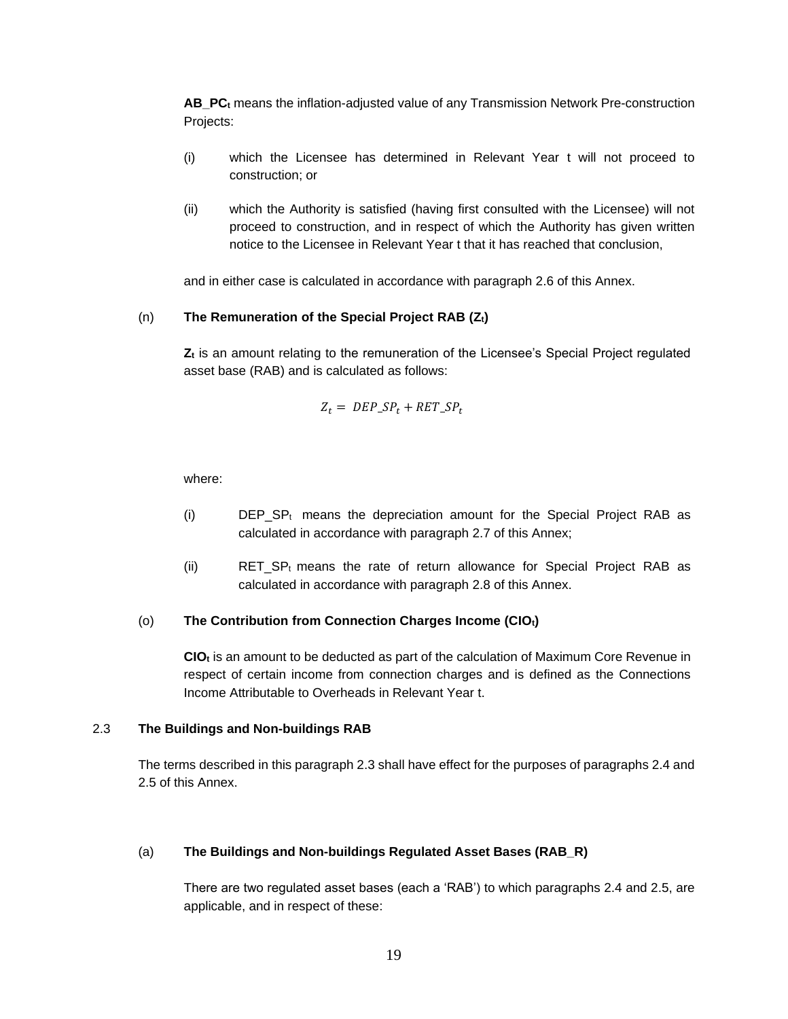**AB\_PC<sup>t</sup>** means the inflation-adjusted value of any Transmission Network Pre-construction Projects:

- (i) which the Licensee has determined in Relevant Year t will not proceed to construction; or
- (ii) which the Authority is satisfied (having first consulted with the Licensee) will not proceed to construction, and in respect of which the Authority has given written notice to the Licensee in Relevant Year t that it has reached that conclusion,

and in either case is calculated in accordance with paragraph 2.6 of this Annex.

#### (n) **The Remuneration of the Special Project RAB (Zt)**

**Z<sup>t</sup>** is an amount relating to the remuneration of the Licensee's Special Project regulated asset base (RAB) and is calculated as follows:

$$
Z_t = DEP\_SP_t + RET\_SP_t
$$

where:

- (i)  $\qquad$  DEP\_SP<sub>t</sub> means the depreciation amount for the Special Project RAB as calculated in accordance with paragraph 2.7 of this Annex;
- (ii) RET\_SP<sub>t</sub> means the rate of return allowance for Special Project RAB as calculated in accordance with paragraph 2.8 of this Annex.

#### (o) **The Contribution from Connection Charges Income (CIOt)**

**CIO<sup>t</sup>** is an amount to be deducted as part of the calculation of Maximum Core Revenue in respect of certain income from connection charges and is defined as the Connections Income Attributable to Overheads in Relevant Year t.

### 2.3 **The Buildings and Non-buildings RAB**

The terms described in this paragraph 2.3 shall have effect for the purposes of paragraphs 2.4 and 2.5 of this Annex.

#### (a) **The Buildings and Non-buildings Regulated Asset Bases (RAB\_R)**

There are two regulated asset bases (each a 'RAB') to which paragraphs 2.4 and 2.5, are applicable, and in respect of these: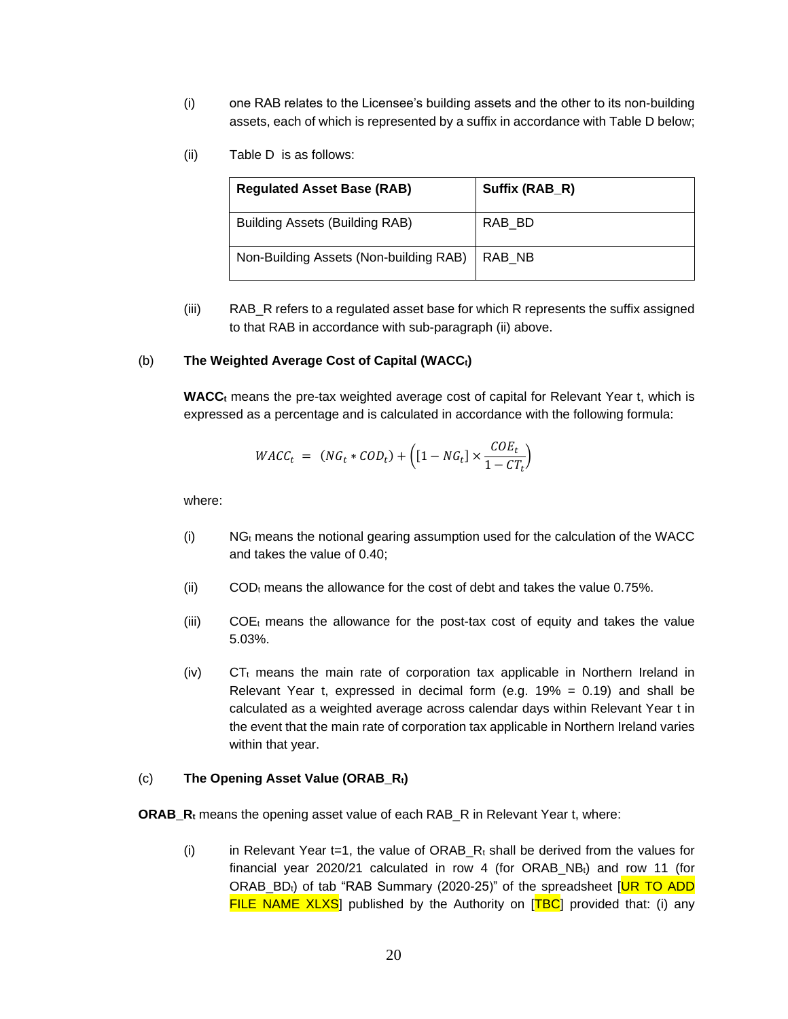- (i) one RAB relates to the Licensee's building assets and the other to its non-building assets, each of which is represented by a suffix in accordance with Table D below;
- (ii) Table D is as follows:

| <b>Regulated Asset Base (RAB)</b>      | Suffix (RAB_R) |
|----------------------------------------|----------------|
| Building Assets (Building RAB)         | RAB_BD         |
| Non-Building Assets (Non-building RAB) | RAB NB         |

(iii) RAB\_R refers to a regulated asset base for which R represents the suffix assigned to that RAB in accordance with sub-paragraph (ii) above.

#### (b) **The Weighted Average Cost of Capital (WACCt)**

**WACC<sup>t</sup>** means the pre-tax weighted average cost of capital for Relevant Year t, which is expressed as a percentage and is calculated in accordance with the following formula:

$$
WACC_t = (NG_t * COD_t) + \left( [1 - NG_t] \times \frac{COE_t}{1 - CT_t} \right)
$$

where:

- $(i)$  NG<sub>t</sub> means the notional gearing assumption used for the calculation of the WACC and takes the value of 0.40;
- (ii) COD $<sub>t</sub>$  means the allowance for the cost of debt and takes the value 0.75%.</sub>
- (iii)  $COE<sub>t</sub>$  means the allowance for the post-tax cost of equity and takes the value 5.03%.
- $(iv)$  CT<sub>t</sub> means the main rate of corporation tax applicable in Northern Ireland in Relevant Year t, expressed in decimal form (e.g.  $19\% = 0.19$ ) and shall be calculated as a weighted average across calendar days within Relevant Year t in the event that the main rate of corporation tax applicable in Northern Ireland varies within that year.

#### (c) **The Opening Asset Value (ORAB\_Rt)**

**ORAB\_R<sup>t</sup>** means the opening asset value of each RAB\_R in Relevant Year t, where:

(i) in Relevant Year t=1, the value of ORAB  $R_t$  shall be derived from the values for financial year 2020/21 calculated in row 4 (for ORAB\_NBt) and row 11 (for ORAB  $BD<sub>t</sub>$ ) of tab "RAB Summary (2020-25)" of the spreadsheet [UR TO ADD FILE NAME  $XLXS$ ] published by the Authority on  $[TBC]$  provided that: (i) any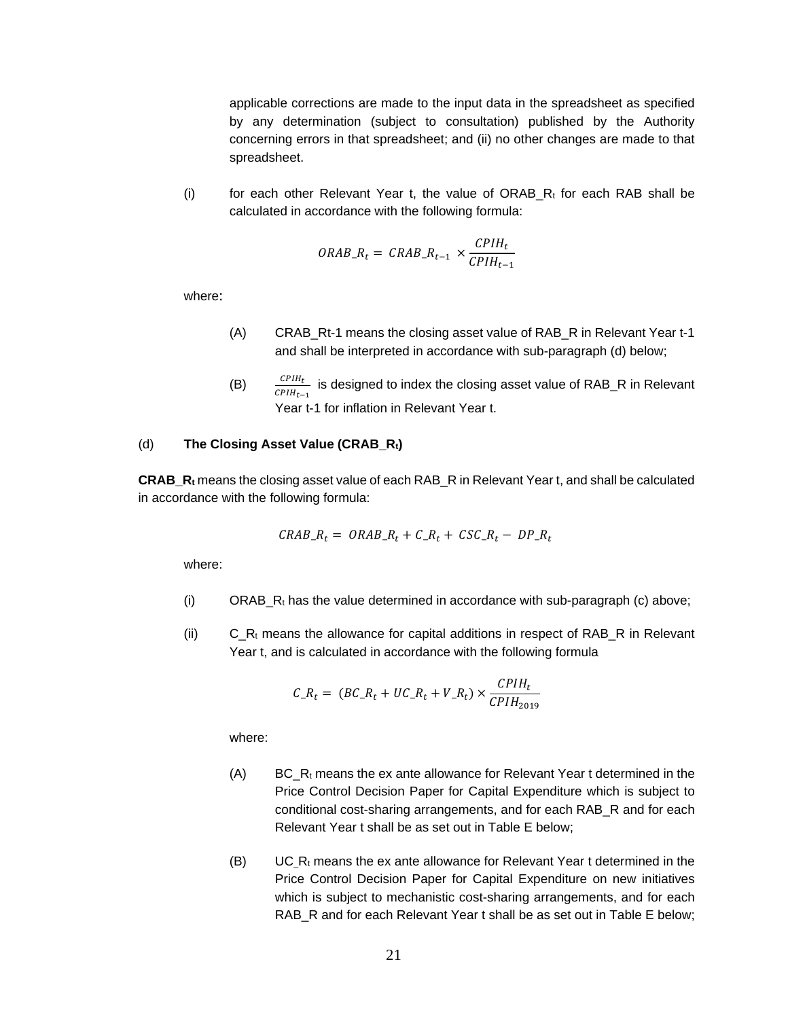applicable corrections are made to the input data in the spreadsheet as specified by any determination (subject to consultation) published by the Authority concerning errors in that spreadsheet; and (ii) no other changes are made to that spreadsheet.

(i) for each other Relevant Year t, the value of ORAB  $R_t$  for each RAB shall be calculated in accordance with the following formula:

$$
ORAB_{-}R_{t} = \text{CRAB}_{-}R_{t-1} \times \frac{\text{CPIH}_{t}}{\text{CPIH}_{t-1}}
$$

where:

- (A) CRAB\_Rt-1 means the closing asset value of RAB\_R in Relevant Year t-1 and shall be interpreted in accordance with sub-paragraph (d) below;
- (B)  $\frac{CPIH_t}{CPIH_{t-1}}$  is designed to index the closing asset value of RAB\_R in Relevant Year t-1 for inflation in Relevant Year t.

#### (d) **The Closing Asset Value (CRAB\_Rt)**

**CRAB\_R<sup>t</sup>** means the closing asset value of each RAB\_R in Relevant Year t, and shall be calculated in accordance with the following formula:

$$
CRAB_R_t = ORAB_R_t + C_R_t + CSC_R_t - DP_R_t
$$

where:

- (i) ORAB<sub>\_</sub>R<sub>t</sub> has the value determined in accordance with sub-paragraph (c) above;
- (ii)  $C_R_t$  means the allowance for capital additions in respect of RAB<sub>L</sub>R in Relevant Year t, and is calculated in accordance with the following formula

$$
C_{-}R_{t} = (BC_{-}R_{t} + UC_{-}R_{t} + V_{-}R_{t}) \times \frac{CPIH_{t}}{CPIH_{2019}}
$$

- (A) BC,  $R_t$  means the ex ante allowance for Relevant Year t determined in the Price Control Decision Paper for Capital Expenditure which is subject to conditional cost-sharing arrangements, and for each RAB\_R and for each Relevant Year t shall be as set out in Table E below;
- $(B)$  UC\_R<sub>t</sub> means the ex ante allowance for Relevant Year t determined in the Price Control Decision Paper for Capital Expenditure on new initiatives which is subject to mechanistic cost-sharing arrangements, and for each RAB R and for each Relevant Year t shall be as set out in Table E below;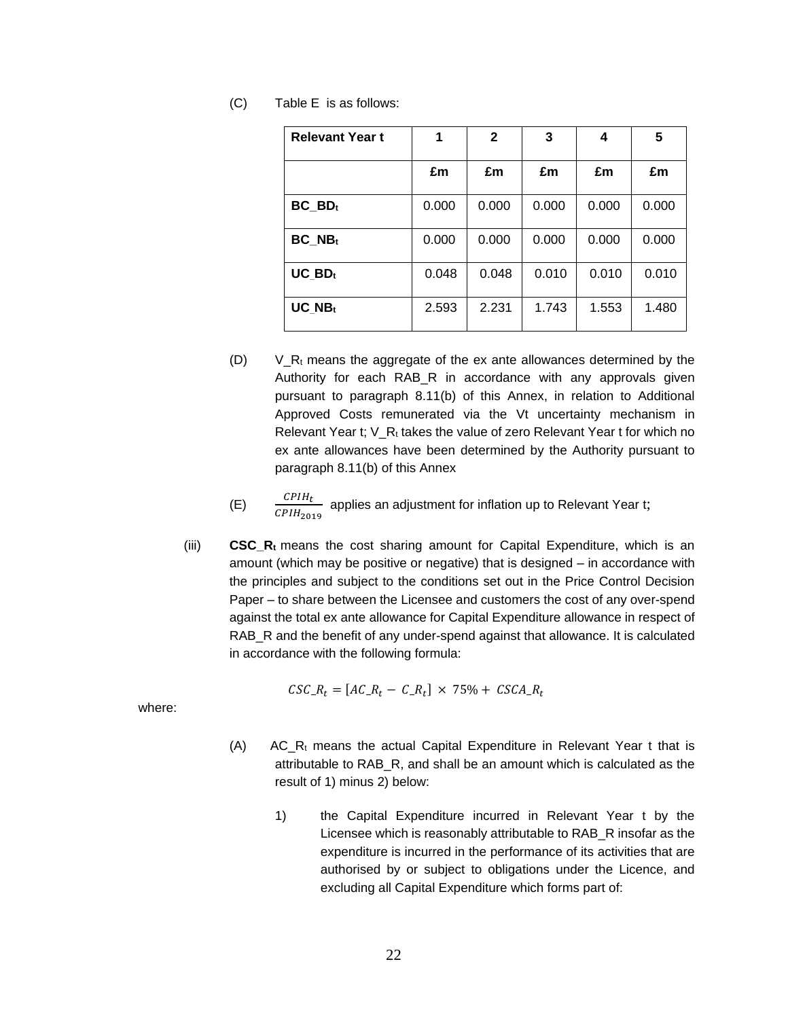| <b>Relevant Year t</b> | 1     | $\mathbf{2}$ | 3     | 4     | 5     |
|------------------------|-------|--------------|-------|-------|-------|
|                        | £m    | £m           | £m    | £m    | £m    |
| $BC$ $BDt$             | 0.000 | 0.000        | 0.000 | 0.000 | 0.000 |
| $BC$ <sub>NBt</sub>    | 0.000 | 0.000        | 0.000 | 0.000 | 0.000 |
| $UC$ BD <sub>t</sub>   | 0.048 | 0.048        | 0.010 | 0.010 | 0.010 |
| UC NBt                 | 2.593 | 2.231        | 1.743 | 1.553 | 1.480 |

(C) Table E is as follows:

- $(U)$   $V_R_t$  means the aggregate of the ex ante allowances determined by the Authority for each RAB\_R in accordance with any approvals given pursuant to paragraph 8.11(b) of this Annex, in relation to Additional Approved Costs remunerated via the Vt uncertainty mechanism in Relevant Year t; V\_Rt takes the value of zero Relevant Year t for which no ex ante allowances have been determined by the Authority pursuant to paragraph 8.11(b) of this Annex
- (E)  $\frac{CPIH_t}{CPIH_{2019}}$  applies an adjustment for inflation up to Relevant Year t;
- (iii) **CSC\_R<sup>t</sup>** means the cost sharing amount for Capital Expenditure, which is an amount (which may be positive or negative) that is designed – in accordance with the principles and subject to the conditions set out in the Price Control Decision Paper – to share between the Licensee and customers the cost of any over-spend against the total ex ante allowance for Capital Expenditure allowance in respect of RAB\_R and the benefit of any under-spend against that allowance. It is calculated in accordance with the following formula:

$$
CSC_{\text{R}_t} = [AC_{\text{R}_t} - C_{\text{R}_t}] \times 75\% + CSCA_{\text{R}_t}
$$

- (A) AC R<sub>t</sub> means the actual Capital Expenditure in Relevant Year t that is attributable to RAB\_R, and shall be an amount which is calculated as the result of 1) minus 2) below:
	- 1) the Capital Expenditure incurred in Relevant Year t by the Licensee which is reasonably attributable to RAB\_R insofar as the expenditure is incurred in the performance of its activities that are authorised by or subject to obligations under the Licence, and excluding all Capital Expenditure which forms part of: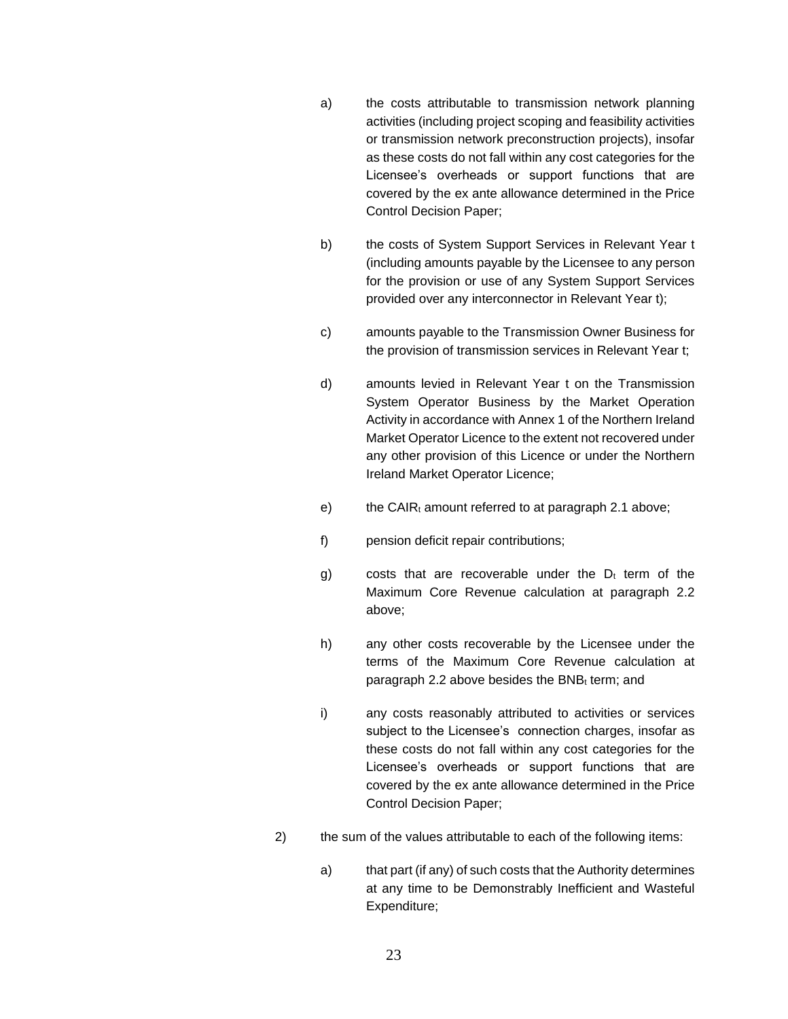- a) the costs attributable to transmission network planning activities (including project scoping and feasibility activities or transmission network preconstruction projects), insofar as these costs do not fall within any cost categories for the Licensee's overheads or support functions that are covered by the ex ante allowance determined in the Price Control Decision Paper;
- b) the costs of System Support Services in Relevant Year t (including amounts payable by the Licensee to any person for the provision or use of any System Support Services provided over any interconnector in Relevant Year t);
- c) amounts payable to the Transmission Owner Business for the provision of transmission services in Relevant Year t;
- d) amounts levied in Relevant Year t on the Transmission System Operator Business by the Market Operation Activity in accordance with Annex 1 of the Northern Ireland Market Operator Licence to the extent not recovered under any other provision of this Licence or under the Northern Ireland Market Operator Licence;
- e) the CAIR $<sub>t</sub>$  amount referred to at paragraph 2.1 above;</sub>
- f) pension deficit repair contributions;
- g) costs that are recoverable under the  $D_t$  term of the Maximum Core Revenue calculation at paragraph 2.2 above;
- h) any other costs recoverable by the Licensee under the terms of the Maximum Core Revenue calculation at paragraph 2.2 above besides the BNBt term; and
- i) any costs reasonably attributed to activities or services subject to the Licensee's connection charges, insofar as these costs do not fall within any cost categories for the Licensee's overheads or support functions that are covered by the ex ante allowance determined in the Price Control Decision Paper;
- 2) the sum of the values attributable to each of the following items:
	- a) that part (if any) of such costs that the Authority determines at any time to be Demonstrably Inefficient and Wasteful Expenditure;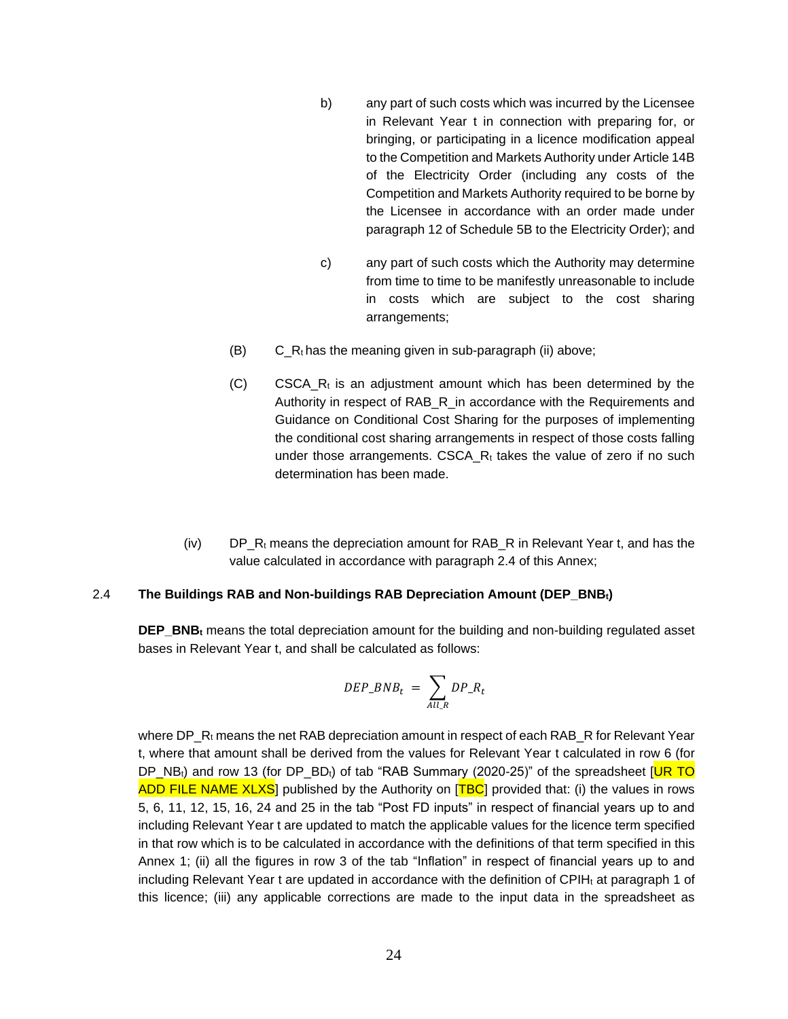- b) any part of such costs which was incurred by the Licensee in Relevant Year t in connection with preparing for, or bringing, or participating in a licence modification appeal to the Competition and Markets Authority under Article 14B of the Electricity Order (including any costs of the Competition and Markets Authority required to be borne by the Licensee in accordance with an order made under paragraph 12 of Schedule 5B to the Electricity Order); and
- c) any part of such costs which the Authority may determine from time to time to be manifestly unreasonable to include in costs which are subject to the cost sharing arrangements;
- $(B)$  C\_Rt has the meaning given in sub-paragraph (ii) above;
- $(C)$  CSCA R<sub>t</sub> is an adjustment amount which has been determined by the Authority in respect of RAB\_R\_in accordance with the Requirements and Guidance on Conditional Cost Sharing for the purposes of implementing the conditional cost sharing arrangements in respect of those costs falling under those arrangements. CSCA  $R_t$  takes the value of zero if no such determination has been made.
- $(iv)$  DP, R<sub>t</sub> means the depreciation amount for RAB, R in Relevant Year t, and has the value calculated in accordance with paragraph 2.4 of this Annex;

### 2.4 **The Buildings RAB and Non-buildings RAB Depreciation Amount (DEP\_BNBt)**

**DEP\_BNB<sup>t</sup>** means the total depreciation amount for the building and non-building regulated asset bases in Relevant Year t, and shall be calculated as follows:

$$
DEP\_BNB_t = \sum_{All_R} DP\_R_t
$$

where  $DP_R$ <sub>t</sub> means the net RAB depreciation amount in respect of each RAB\_R for Relevant Year t, where that amount shall be derived from the values for Relevant Year t calculated in row 6 (for DP\_NB<sub>t</sub>) and row 13 (for DP\_BD<sub>t</sub>) of tab "RAB Summary (2020-25)" of the spreadsheet [UR TO ADD FILE NAME XLXS] published by the Authority on [TBC] provided that: (i) the values in rows 5, 6, 11, 12, 15, 16, 24 and 25 in the tab "Post FD inputs" in respect of financial years up to and including Relevant Year t are updated to match the applicable values for the licence term specified in that row which is to be calculated in accordance with the definitions of that term specified in this Annex 1; (ii) all the figures in row 3 of the tab "Inflation" in respect of financial years up to and including Relevant Year  $t$  are updated in accordance with the definition of CPIH $<sub>t</sub>$  at paragraph 1 of</sub> this licence; (iii) any applicable corrections are made to the input data in the spreadsheet as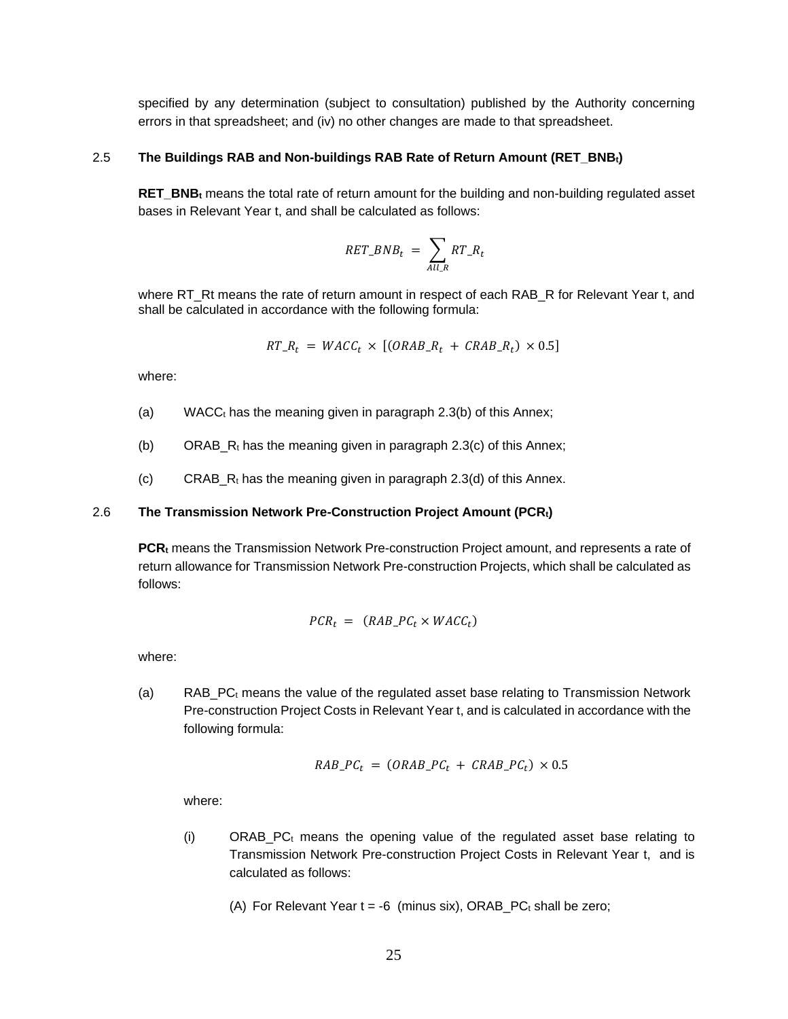specified by any determination (subject to consultation) published by the Authority concerning errors in that spreadsheet; and (iv) no other changes are made to that spreadsheet.

#### 2.5 **The Buildings RAB and Non-buildings RAB Rate of Return Amount (RET\_BNBt)**

**RET\_BNB**<sub>t</sub> means the total rate of return amount for the building and non-building regulated asset bases in Relevant Year t, and shall be calculated as follows:

$$
RET\_BNB_t = \sum_{All_R} RT\_R_t
$$

where RT\_Rt means the rate of return amount in respect of each RAB\_R for Relevant Year t, and shall be calculated in accordance with the following formula:

$$
RT\_R_t = WACC_t \times [(ORAB\_R_t + CRAB\_R_t) \times 0.5]
$$

where:

- (a) WACC $<sub>t</sub>$  has the meaning given in paragraph 2.3(b) of this Annex;</sub>
- (b) ORAB<sub>\_</sub>R<sub>t</sub> has the meaning given in paragraph 2.3(c) of this Annex;
- $(c)$  CRAB<sub>Rt</sub> has the meaning given in paragraph 2.3(d) of this Annex.

### 2.6 **The Transmission Network Pre-Construction Project Amount (PCRt)**

**PCR<sup>t</sup>** means the Transmission Network Pre-construction Project amount, and represents a rate of return allowance for Transmission Network Pre-construction Projects, which shall be calculated as follows:

$$
PCR_t = (RAB\_PC_t \times WACC_t)
$$

where:

(a) RAB\_PC $<sub>t</sub>$  means the value of the regulated asset base relating to Transmission Network</sub> Pre-construction Project Costs in Relevant Year t, and is calculated in accordance with the following formula:

$$
RAB\_PC_t = (ORAB\_PC_t + CRAB\_PC_t) \times 0.5
$$

where:

(i)  $ORAB\_PC_t$  means the opening value of the regulated asset base relating to Transmission Network Pre-construction Project Costs in Relevant Year t, and is calculated as follows:

(A) For Relevant Year  $t = -6$  (minus six), ORAB\_PC<sub>t</sub> shall be zero;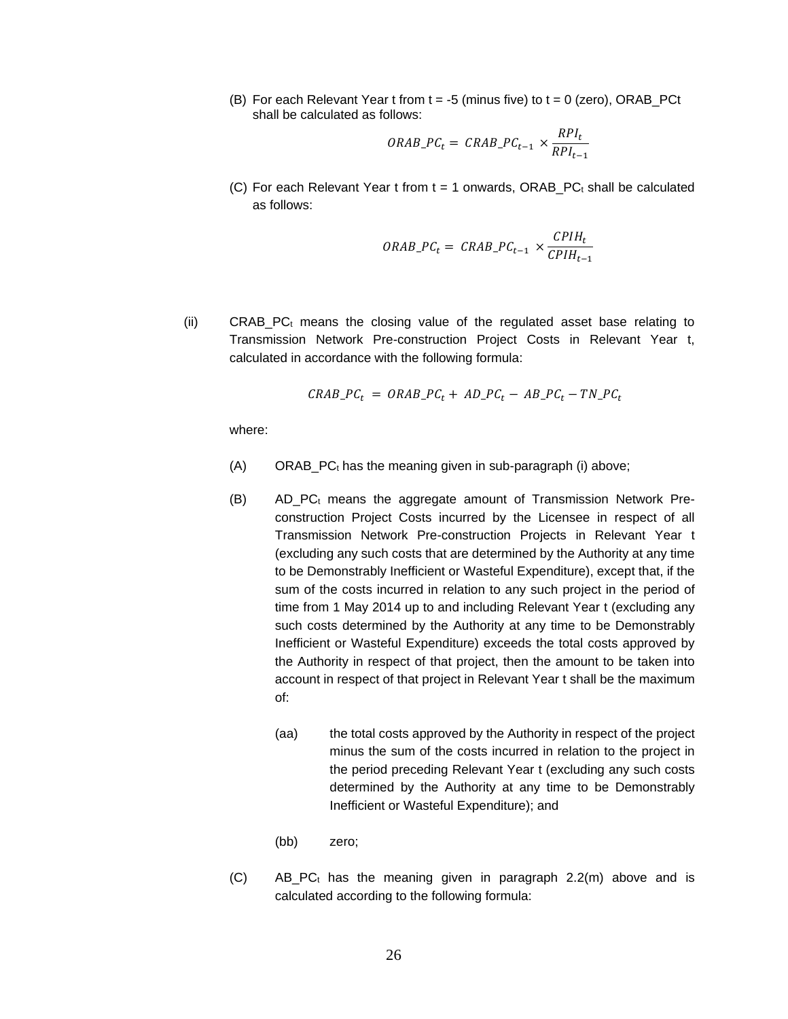(B) For each Relevant Year t from  $t = -5$  (minus five) to  $t = 0$  (zero), ORAB\_PCt shall be calculated as follows:

$$
ORAB\_PC_t = \text{CRAB}\_PC_{t-1} \times \frac{RPI_t}{RPI_{t-1}}
$$

(C) For each Relevant Year t from  $t = 1$  onwards, ORAB\_PC<sub>t</sub> shall be calculated as follows:

$$
ORAB\_PC_t = \text{CRAB}\_PC_{t-1} \times \frac{CPIH_t}{CPIH_{t-1}}
$$

(ii) CRAB PC $<sub>t</sub>$  means the closing value of the regulated asset base relating to</sub> Transmission Network Pre-construction Project Costs in Relevant Year t, calculated in accordance with the following formula:

$$
CRAB\_PC_t = ORAB\_PC_t + AD\_PC_t - AB\_PC_t - TN\_PC_t
$$

- $(A)$  ORAB\_PC $<sub>t</sub>$  has the meaning given in sub-paragraph (i) above;</sub>
- $(B)$  AD PC<sub>t</sub> means the aggregate amount of Transmission Network Preconstruction Project Costs incurred by the Licensee in respect of all Transmission Network Pre-construction Projects in Relevant Year t (excluding any such costs that are determined by the Authority at any time to be Demonstrably Inefficient or Wasteful Expenditure), except that, if the sum of the costs incurred in relation to any such project in the period of time from 1 May 2014 up to and including Relevant Year t (excluding any such costs determined by the Authority at any time to be Demonstrably Inefficient or Wasteful Expenditure) exceeds the total costs approved by the Authority in respect of that project, then the amount to be taken into account in respect of that project in Relevant Year t shall be the maximum of:
	- (aa) the total costs approved by the Authority in respect of the project minus the sum of the costs incurred in relation to the project in the period preceding Relevant Year t (excluding any such costs determined by the Authority at any time to be Demonstrably Inefficient or Wasteful Expenditure); and
	- (bb) zero;
- $(C)$  AB\_PC<sub>t</sub> has the meaning given in paragraph 2.2(m) above and is calculated according to the following formula: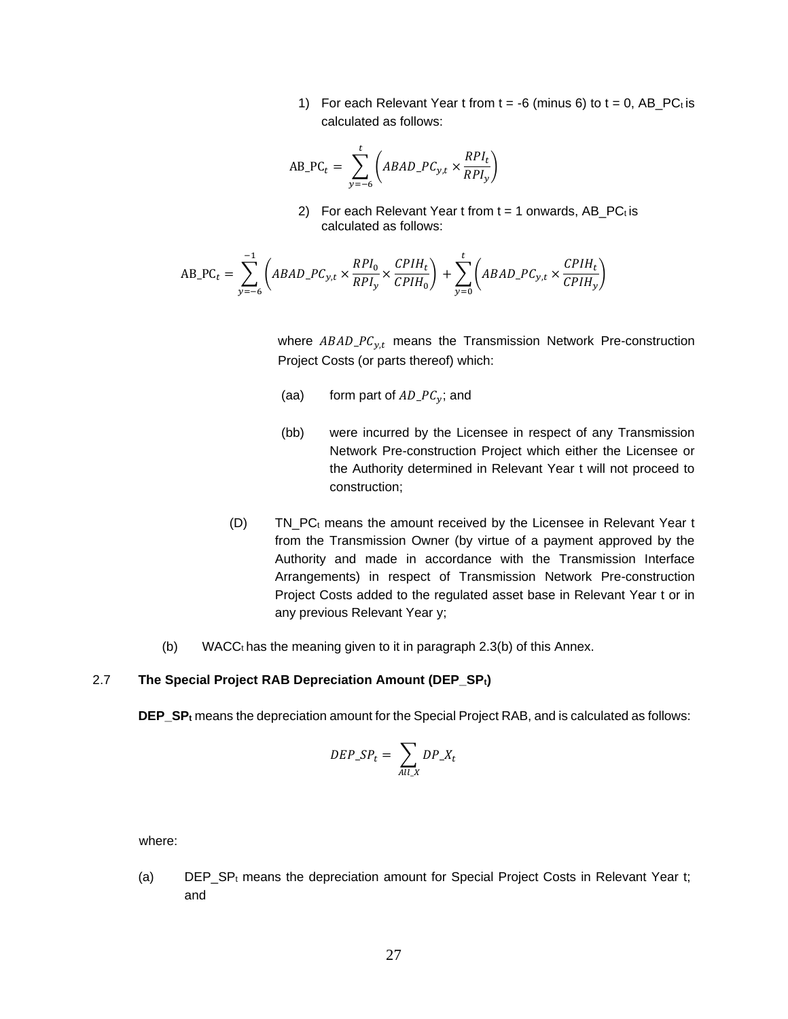1) For each Relevant Year t from  $t = -6$  (minus 6) to  $t = 0$ , AB\_PC<sub>t</sub> is calculated as follows:

$$
AB\_PC_t = \sum_{y=-6}^{t} \left( ABAD\_PC_{y,t} \times \frac{RPI_t}{RPI_y} \right)
$$

2) For each Relevant Year  $t$  from  $t = 1$  onwards, AB\_PC $<sub>t</sub>$  is</sub> calculated as follows:

$$
AB\_PC_t = \sum_{y=-6}^{-1} \left( ABAD\_PC_{y,t} \times \frac{RPI_0}{RPI_y} \times \frac{CPIH_t}{CPIH_0} \right) + \sum_{y=0}^{t} \left( ABAD\_PC_{y,t} \times \frac{CPIH_t}{CPIH_y} \right)
$$

where  $ABAD\_PC_{y,t}$  means the Transmission Network Pre-construction Project Costs (or parts thereof) which:

- (aa) form part of  $AD\_PC_v$ ; and
- (bb) were incurred by the Licensee in respect of any Transmission Network Pre-construction Project which either the Licensee or the Authority determined in Relevant Year t will not proceed to construction;
- (D) TN\_PC<sup>t</sup> means the amount received by the Licensee in Relevant Year t from the Transmission Owner (by virtue of a payment approved by the Authority and made in accordance with the Transmission Interface Arrangements) in respect of Transmission Network Pre-construction Project Costs added to the regulated asset base in Relevant Year t or in any previous Relevant Year y;
- (b) WACC $<sub>t</sub>$  has the meaning given to it in paragraph 2.3(b) of this Annex.</sub>

#### 2.7 **The Special Project RAB Depreciation Amount (DEP\_SPt)**

**DEP\_SP<sup>t</sup>** means the depreciation amount for the Special Project RAB, and is calculated as follows:

$$
DEP\_SP_t = \sum_{All \mid X} DP\_X_t
$$

where:

(a) DEP\_SP<sub>t</sub> means the depreciation amount for Special Project Costs in Relevant Year t; and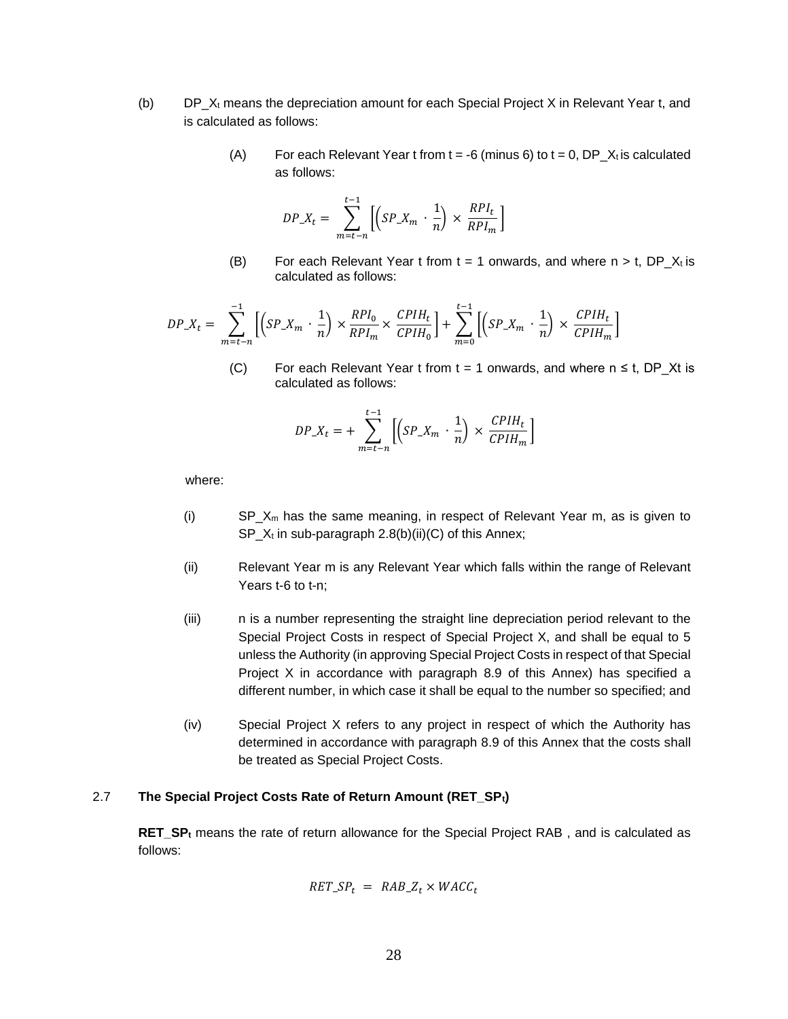- (b)  $DP_X_t$  means the depreciation amount for each Special Project X in Relevant Year t, and is calculated as follows:
	- (A) For each Relevant Year t from  $t = -6$  (minus 6) to  $t = 0$ , DP\_X<sub>t</sub> is calculated as follows:

$$
DP_{\mathcal{L}}X_t = \sum_{m=t-n}^{t-1} \left[ \left( SP_{\mathcal{L}}X_m \cdot \frac{1}{n} \right) \times \frac{RPI_t}{RPI_m} \right]
$$

(B) For each Relevant Year t from  $t = 1$  onwards, and where  $n > t$ , DP\_Xt is calculated as follows:

$$
DP\_X_t = \sum_{m=t-n}^{-1}\left[\left(SP\_X_m \cdot \frac{1}{n}\right) \times \frac{RPI_0}{RPI_m} \times \frac{CPIH_t}{CPIH_0}\right] + \sum_{m=0}^{t-1}\left[\left(SP\_X_m \cdot \frac{1}{n}\right) \times \frac{CPIH_t}{CPIH_m}\right]
$$

−1

(C) For each Relevant Year t from  $t = 1$  onwards, and where  $n \le t$ , DP\_Xt is calculated as follows:

$$
DP\_X_t = + \sum_{m=t-n}^{t-1} \left[ \left( SP\_X_m \cdot \frac{1}{n} \right) \times \frac{CPIH_t}{CPIH_m} \right]
$$

where:

- (i)  $SP_X_m$  has the same meaning, in respect of Relevant Year m, as is given to  $SP_X$ t in sub-paragraph 2.8(b)(ii)(C) of this Annex;
- (ii) Relevant Year m is any Relevant Year which falls within the range of Relevant Years t-6 to t-n;
- (iii) n is a number representing the straight line depreciation period relevant to the Special Project Costs in respect of Special Project X, and shall be equal to 5 unless the Authority (in approving Special Project Costs in respect of that Special Project X in accordance with paragraph 8.9 of this Annex) has specified a different number, in which case it shall be equal to the number so specified; and
- (iv) Special Project X refers to any project in respect of which the Authority has determined in accordance with paragraph 8.9 of this Annex that the costs shall be treated as Special Project Costs.

#### 2.7 **The Special Project Costs Rate of Return Amount (RET\_SPt)**

**RET\_SP<sup>t</sup>** means the rate of return allowance for the Special Project RAB , and is calculated as follows:

$$
RET\_SP_t = RAB\_Z_t \times WACC_t
$$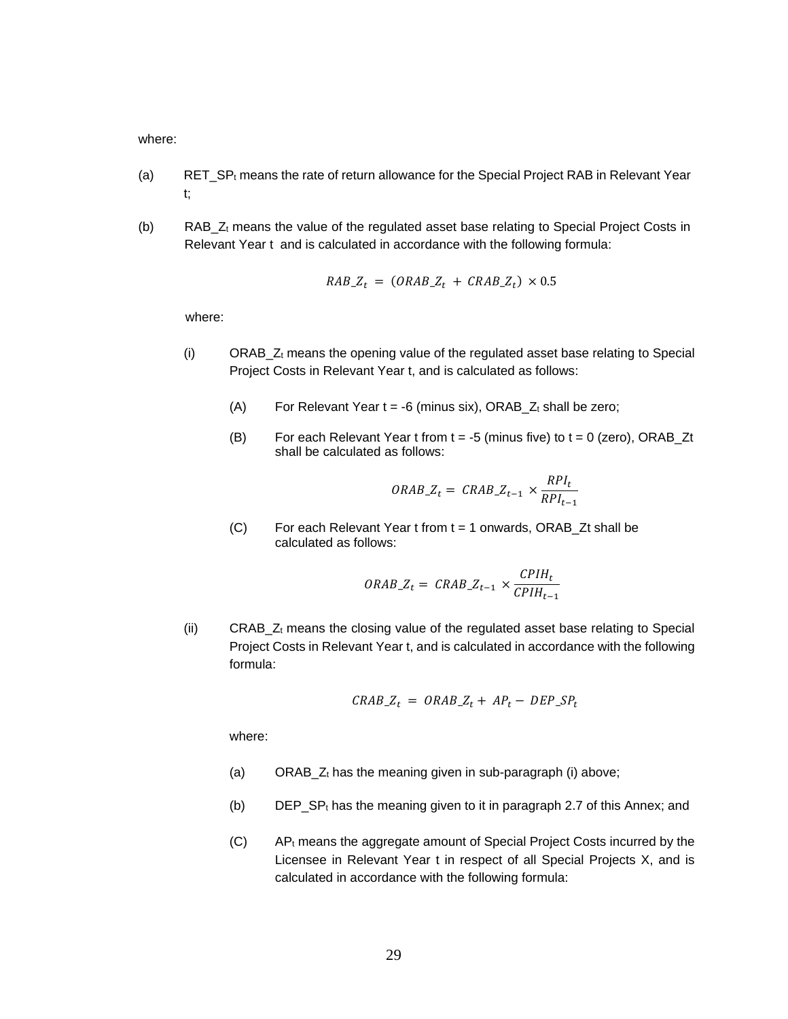where:

- (a) RET\_SP<sub>t</sub> means the rate of return allowance for the Special Project RAB in Relevant Year t;
- (b) RAB\_Z<sup>t</sup> means the value of the regulated asset base relating to Special Project Costs in Relevant Year t and is calculated in accordance with the following formula:

$$
RAB_zZ_t = (ORAB_zZ_t + CRAB_zZ_t) \times 0.5
$$

where:

- (i) ORAB\_Z<sup>t</sup> means the opening value of the regulated asset base relating to Special Project Costs in Relevant Year t, and is calculated as follows:
	- (A) For Relevant Year  $t = -6$  (minus six), ORAB\_ $Z_t$  shall be zero;
	- (B) For each Relevant Year t from  $t = -5$  (minus five) to  $t = 0$  (zero), ORAB\_Zt shall be calculated as follows:

$$
ORAB\_Z_t = \text{CRAB}\_Z_{t-1} \times \frac{RPI_t}{RPI_{t-1}}
$$

 $(C)$  For each Relevant Year t from  $t = 1$  onwards, ORAB\_Zt shall be calculated as follows:

$$
ORAB\_Z_t = \text{CRAB}\_Z_{t-1} \times \frac{\text{CPIH}_t}{\text{CPIH}_{t-1}}
$$

(ii) CRAB\_Z<sup>t</sup> means the closing value of the regulated asset base relating to Special Project Costs in Relevant Year t, and is calculated in accordance with the following formula:

$$
CRAB_Z_t = ORAB_Z_t + AP_t - DEP_SP_t
$$

- (a) ORAB\_ $Z_t$  has the meaning given in sub-paragraph (i) above;
- (b) DEP\_SP<sup>t</sup> has the meaning given to it in paragraph 2.7 of this Annex; and
- (C) AP<sup>t</sup> means the aggregate amount of Special Project Costs incurred by the Licensee in Relevant Year t in respect of all Special Projects X, and is calculated in accordance with the following formula: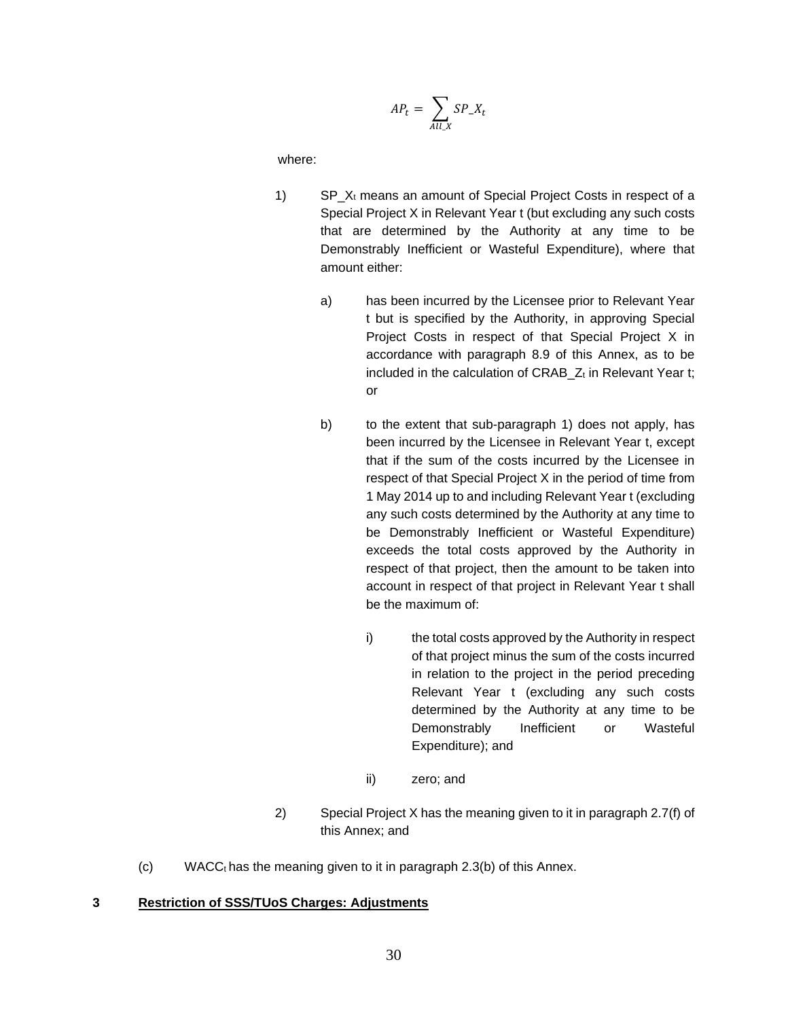$$
AP_t = \sum_{All \ X} SP_X_t
$$

where:

- 1) SP  $X_t$  means an amount of Special Project Costs in respect of a Special Project X in Relevant Year t (but excluding any such costs that are determined by the Authority at any time to be Demonstrably Inefficient or Wasteful Expenditure), where that amount either:
	- a) has been incurred by the Licensee prior to Relevant Year t but is specified by the Authority, in approving Special Project Costs in respect of that Special Project X in accordance with paragraph 8.9 of this Annex, as to be included in the calculation of CRAB  $Z_t$  in Relevant Year t; or
	- b) to the extent that sub-paragraph 1) does not apply, has been incurred by the Licensee in Relevant Year t, except that if the sum of the costs incurred by the Licensee in respect of that Special Project X in the period of time from 1 May 2014 up to and including Relevant Year t (excluding any such costs determined by the Authority at any time to be Demonstrably Inefficient or Wasteful Expenditure) exceeds the total costs approved by the Authority in respect of that project, then the amount to be taken into account in respect of that project in Relevant Year t shall be the maximum of:
		- i) the total costs approved by the Authority in respect of that project minus the sum of the costs incurred in relation to the project in the period preceding Relevant Year t (excluding any such costs determined by the Authority at any time to be Demonstrably Inefficient or Wasteful Expenditure); and
		- ii) zero; and
- 2) Special Project X has the meaning given to it in paragraph 2.7(f) of this Annex; and
- (c) WACC $<sub>t</sub>$  has the meaning given to it in paragraph 2.3(b) of this Annex.</sub>

#### **3 Restriction of SSS/TUoS Charges: Adjustments**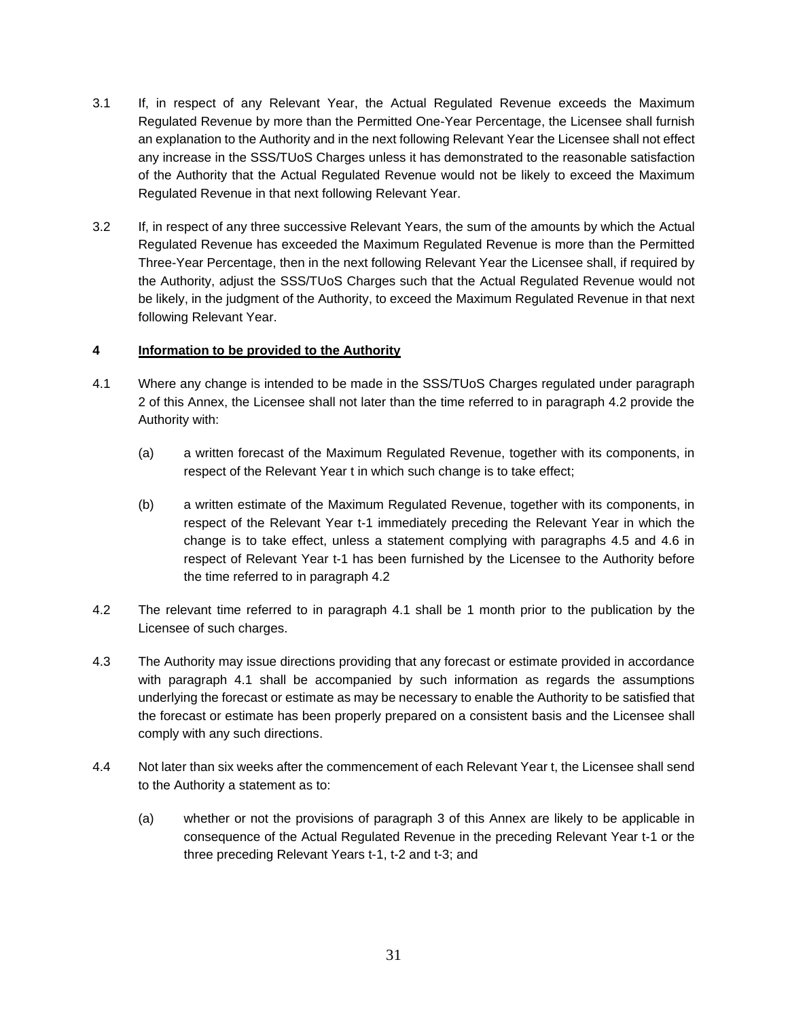- 3.1 If, in respect of any Relevant Year, the Actual Regulated Revenue exceeds the Maximum Regulated Revenue by more than the Permitted One-Year Percentage, the Licensee shall furnish an explanation to the Authority and in the next following Relevant Year the Licensee shall not effect any increase in the SSS/TUoS Charges unless it has demonstrated to the reasonable satisfaction of the Authority that the Actual Regulated Revenue would not be likely to exceed the Maximum Regulated Revenue in that next following Relevant Year.
- 3.2 If, in respect of any three successive Relevant Years, the sum of the amounts by which the Actual Regulated Revenue has exceeded the Maximum Regulated Revenue is more than the Permitted Three-Year Percentage, then in the next following Relevant Year the Licensee shall, if required by the Authority, adjust the SSS/TUoS Charges such that the Actual Regulated Revenue would not be likely, in the judgment of the Authority, to exceed the Maximum Regulated Revenue in that next following Relevant Year.

## **4 Information to be provided to the Authority**

- 4.1 Where any change is intended to be made in the SSS/TUoS Charges regulated under paragraph 2 of this Annex, the Licensee shall not later than the time referred to in paragraph 4.2 provide the Authority with:
	- (a) a written forecast of the Maximum Regulated Revenue, together with its components, in respect of the Relevant Year t in which such change is to take effect;
	- (b) a written estimate of the Maximum Regulated Revenue, together with its components, in respect of the Relevant Year t-1 immediately preceding the Relevant Year in which the change is to take effect, unless a statement complying with paragraphs 4.5 and 4.6 in respect of Relevant Year t-1 has been furnished by the Licensee to the Authority before the time referred to in paragraph 4.2
- 4.2 The relevant time referred to in paragraph 4.1 shall be 1 month prior to the publication by the Licensee of such charges.
- 4.3 The Authority may issue directions providing that any forecast or estimate provided in accordance with paragraph 4.1 shall be accompanied by such information as regards the assumptions underlying the forecast or estimate as may be necessary to enable the Authority to be satisfied that the forecast or estimate has been properly prepared on a consistent basis and the Licensee shall comply with any such directions.
- 4.4 Not later than six weeks after the commencement of each Relevant Year t, the Licensee shall send to the Authority a statement as to:
	- (a) whether or not the provisions of paragraph 3 of this Annex are likely to be applicable in consequence of the Actual Regulated Revenue in the preceding Relevant Year t-1 or the three preceding Relevant Years t-1, t-2 and t-3; and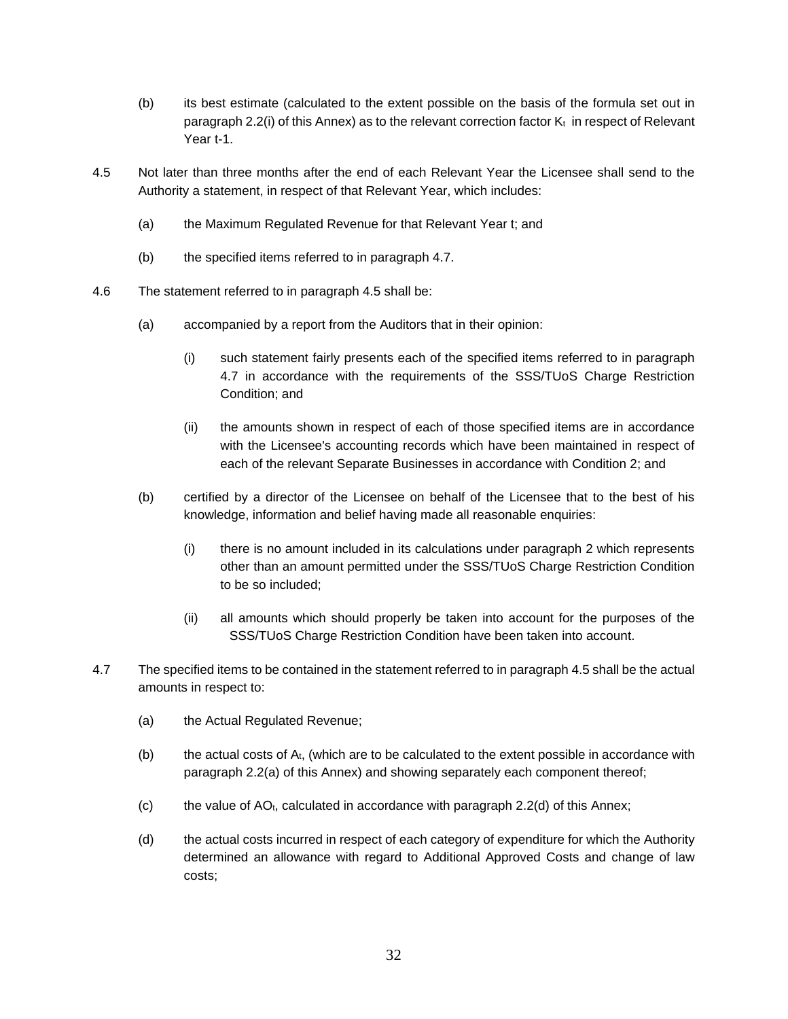- (b) its best estimate (calculated to the extent possible on the basis of the formula set out in paragraph 2.2(i) of this Annex) as to the relevant correction factor  $K_t$  in respect of Relevant Year t-1.
- 4.5 Not later than three months after the end of each Relevant Year the Licensee shall send to the Authority a statement, in respect of that Relevant Year, which includes:
	- (a) the Maximum Regulated Revenue for that Relevant Year t; and
	- (b) the specified items referred to in paragraph 4.7.
- 4.6 The statement referred to in paragraph 4.5 shall be:
	- (a) accompanied by a report from the Auditors that in their opinion:
		- (i) such statement fairly presents each of the specified items referred to in paragraph 4.7 in accordance with the requirements of the SSS/TUoS Charge Restriction Condition; and
		- (ii) the amounts shown in respect of each of those specified items are in accordance with the Licensee's accounting records which have been maintained in respect of each of the relevant Separate Businesses in accordance with Condition 2; and
	- (b) certified by a director of the Licensee on behalf of the Licensee that to the best of his knowledge, information and belief having made all reasonable enquiries:
		- (i) there is no amount included in its calculations under paragraph 2 which represents other than an amount permitted under the SSS/TUoS Charge Restriction Condition to be so included;
		- (ii) all amounts which should properly be taken into account for the purposes of the SSS/TUoS Charge Restriction Condition have been taken into account.
- 4.7 The specified items to be contained in the statement referred to in paragraph 4.5 shall be the actual amounts in respect to:
	- (a) the Actual Regulated Revenue;
	- $(b)$  the actual costs of  $A_t$ , (which are to be calculated to the extent possible in accordance with paragraph 2.2(a) of this Annex) and showing separately each component thereof;
	- (c) the value of  $AO_t$ , calculated in accordance with paragraph 2.2(d) of this Annex;
	- (d) the actual costs incurred in respect of each category of expenditure for which the Authority determined an allowance with regard to Additional Approved Costs and change of law costs;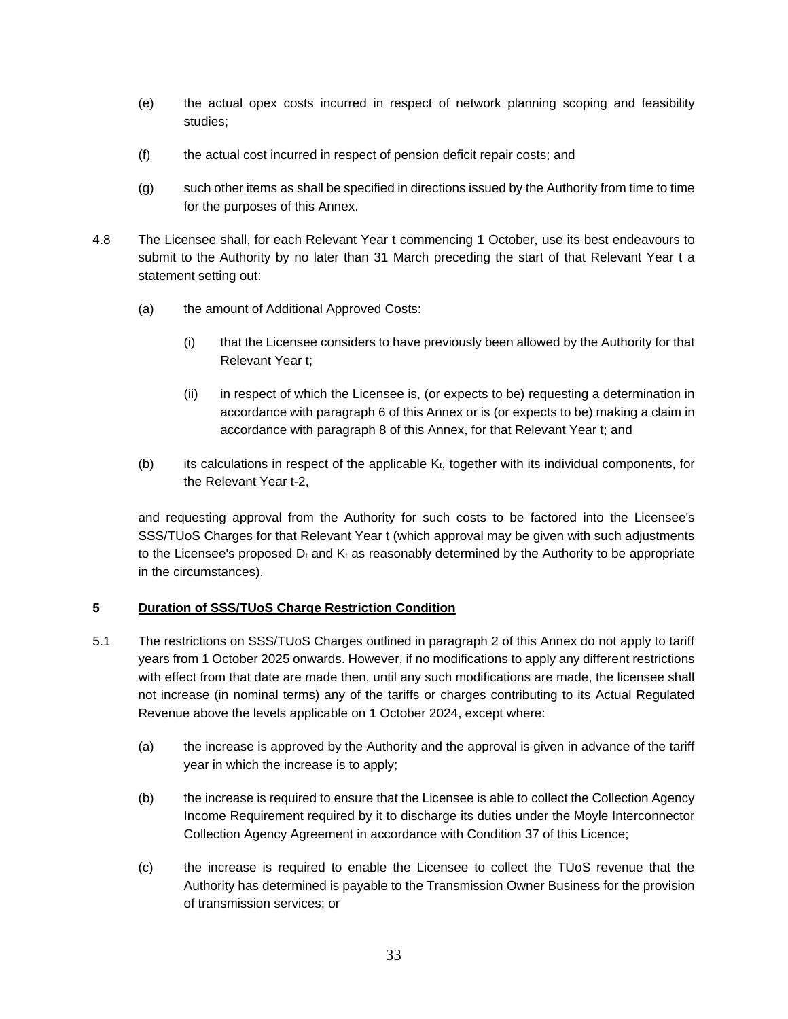- (e) the actual opex costs incurred in respect of network planning scoping and feasibility studies;
- (f) the actual cost incurred in respect of pension deficit repair costs; and
- (g) such other items as shall be specified in directions issued by the Authority from time to time for the purposes of this Annex.
- 4.8 The Licensee shall, for each Relevant Year t commencing 1 October, use its best endeavours to submit to the Authority by no later than 31 March preceding the start of that Relevant Year t a statement setting out:
	- (a) the amount of Additional Approved Costs:
		- (i) that the Licensee considers to have previously been allowed by the Authority for that Relevant Year t;
		- (ii) in respect of which the Licensee is, (or expects to be) requesting a determination in accordance with paragraph 6 of this Annex or is (or expects to be) making a claim in accordance with paragraph 8 of this Annex, for that Relevant Year t; and
	- (b) its calculations in respect of the applicable  $K_t$ , together with its individual components, for the Relevant Year t-2,

and requesting approval from the Authority for such costs to be factored into the Licensee's SSS/TUoS Charges for that Relevant Year t (which approval may be given with such adjustments to the Licensee's proposed  $D_t$  and  $K_t$  as reasonably determined by the Authority to be appropriate in the circumstances).

## **5 Duration of SSS/TUoS Charge Restriction Condition**

- 5.1 The restrictions on SSS/TUoS Charges outlined in paragraph 2 of this Annex do not apply to tariff years from 1 October 2025 onwards. However, if no modifications to apply any different restrictions with effect from that date are made then, until any such modifications are made, the licensee shall not increase (in nominal terms) any of the tariffs or charges contributing to its Actual Regulated Revenue above the levels applicable on 1 October 2024, except where:
	- (a) the increase is approved by the Authority and the approval is given in advance of the tariff year in which the increase is to apply;
	- (b) the increase is required to ensure that the Licensee is able to collect the Collection Agency Income Requirement required by it to discharge its duties under the Moyle Interconnector Collection Agency Agreement in accordance with Condition 37 of this Licence;
	- (c) the increase is required to enable the Licensee to collect the TUoS revenue that the Authority has determined is payable to the Transmission Owner Business for the provision of transmission services; or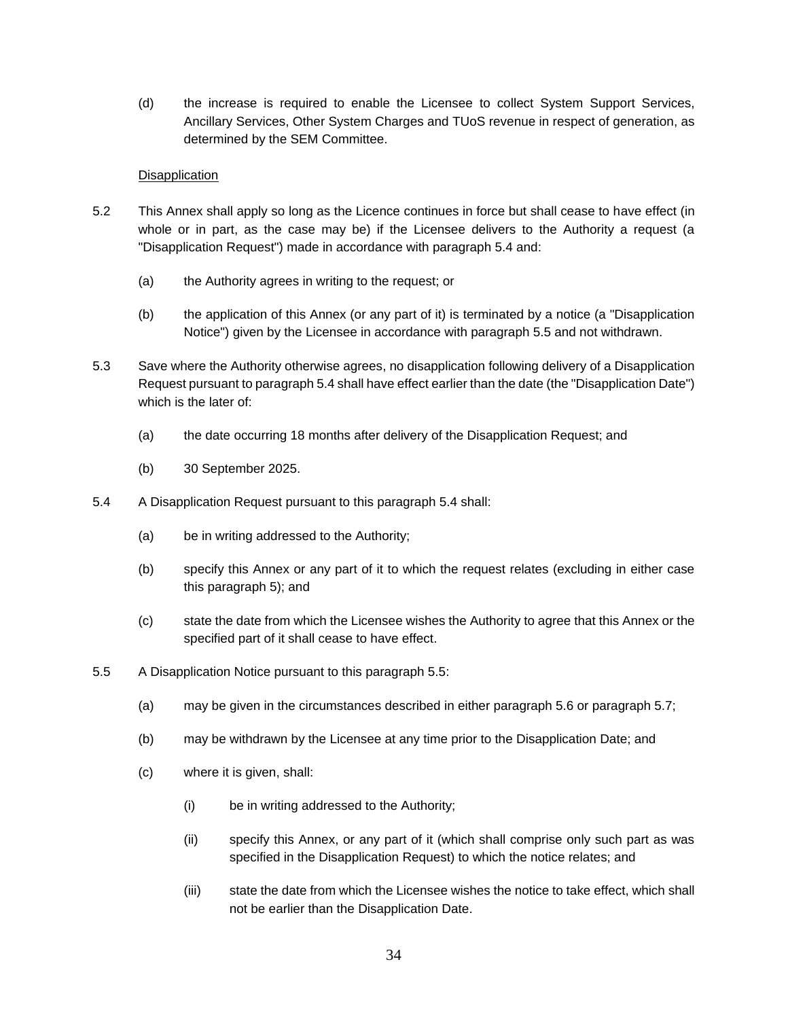(d) the increase is required to enable the Licensee to collect System Support Services, Ancillary Services, Other System Charges and TUoS revenue in respect of generation, as determined by the SEM Committee.

### Disapplication

- 5.2 This Annex shall apply so long as the Licence continues in force but shall cease to have effect (in whole or in part, as the case may be) if the Licensee delivers to the Authority a request (a "Disapplication Request") made in accordance with paragraph 5.4 and:
	- (a) the Authority agrees in writing to the request; or
	- (b) the application of this Annex (or any part of it) is terminated by a notice (a "Disapplication Notice") given by the Licensee in accordance with paragraph 5.5 and not withdrawn.
- 5.3 Save where the Authority otherwise agrees, no disapplication following delivery of a Disapplication Request pursuant to paragraph 5.4 shall have effect earlier than the date (the "Disapplication Date") which is the later of:
	- (a) the date occurring 18 months after delivery of the Disapplication Request; and
	- (b) 30 September 2025.
- 5.4 A Disapplication Request pursuant to this paragraph 5.4 shall:
	- (a) be in writing addressed to the Authority;
	- (b) specify this Annex or any part of it to which the request relates (excluding in either case this paragraph 5); and
	- (c) state the date from which the Licensee wishes the Authority to agree that this Annex or the specified part of it shall cease to have effect.
- 5.5 A Disapplication Notice pursuant to this paragraph 5.5:
	- (a) may be given in the circumstances described in either paragraph 5.6 or paragraph 5.7;
	- (b) may be withdrawn by the Licensee at any time prior to the Disapplication Date; and
	- (c) where it is given, shall:
		- (i) be in writing addressed to the Authority;
		- (ii) specify this Annex, or any part of it (which shall comprise only such part as was specified in the Disapplication Request) to which the notice relates; and
		- (iii) state the date from which the Licensee wishes the notice to take effect, which shall not be earlier than the Disapplication Date.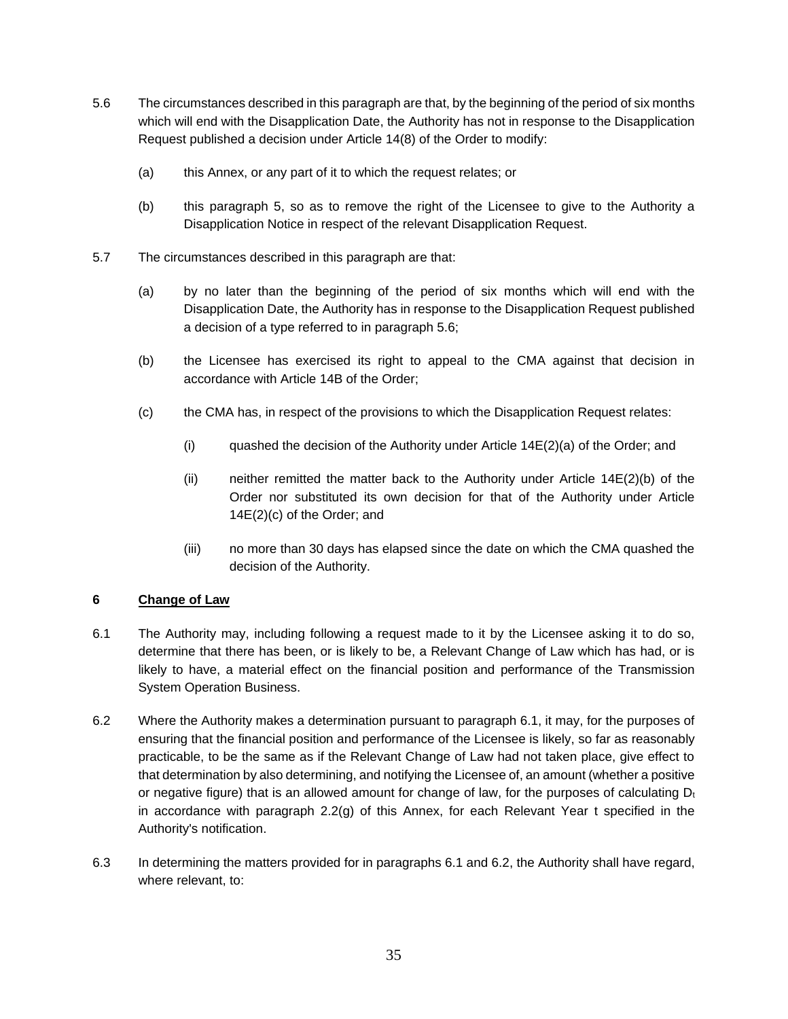- 5.6 The circumstances described in this paragraph are that, by the beginning of the period of six months which will end with the Disapplication Date, the Authority has not in response to the Disapplication Request published a decision under Article 14(8) of the Order to modify:
	- (a) this Annex, or any part of it to which the request relates; or
	- (b) this paragraph 5, so as to remove the right of the Licensee to give to the Authority a Disapplication Notice in respect of the relevant Disapplication Request.
- 5.7 The circumstances described in this paragraph are that:
	- (a) by no later than the beginning of the period of six months which will end with the Disapplication Date, the Authority has in response to the Disapplication Request published a decision of a type referred to in paragraph 5.6;
	- (b) the Licensee has exercised its right to appeal to the CMA against that decision in accordance with Article 14B of the Order;
	- (c) the CMA has, in respect of the provisions to which the Disapplication Request relates:
		- (i) quashed the decision of the Authority under Article  $14E(2)(a)$  of the Order; and
		- (ii) neither remitted the matter back to the Authority under Article 14E(2)(b) of the Order nor substituted its own decision for that of the Authority under Article 14E(2)(c) of the Order; and
		- (iii) no more than 30 days has elapsed since the date on which the CMA quashed the decision of the Authority.

## **6 Change of Law**

- 6.1 The Authority may, including following a request made to it by the Licensee asking it to do so, determine that there has been, or is likely to be, a Relevant Change of Law which has had, or is likely to have, a material effect on the financial position and performance of the Transmission System Operation Business.
- 6.2 Where the Authority makes a determination pursuant to paragraph 6.1, it may, for the purposes of ensuring that the financial position and performance of the Licensee is likely, so far as reasonably practicable, to be the same as if the Relevant Change of Law had not taken place, give effect to that determination by also determining, and notifying the Licensee of, an amount (whether a positive or negative figure) that is an allowed amount for change of law, for the purposes of calculating  $D_t$ in accordance with paragraph 2.2(g) of this Annex, for each Relevant Year t specified in the Authority's notification.
- 6.3 In determining the matters provided for in paragraphs 6.1 and 6.2, the Authority shall have regard, where relevant, to: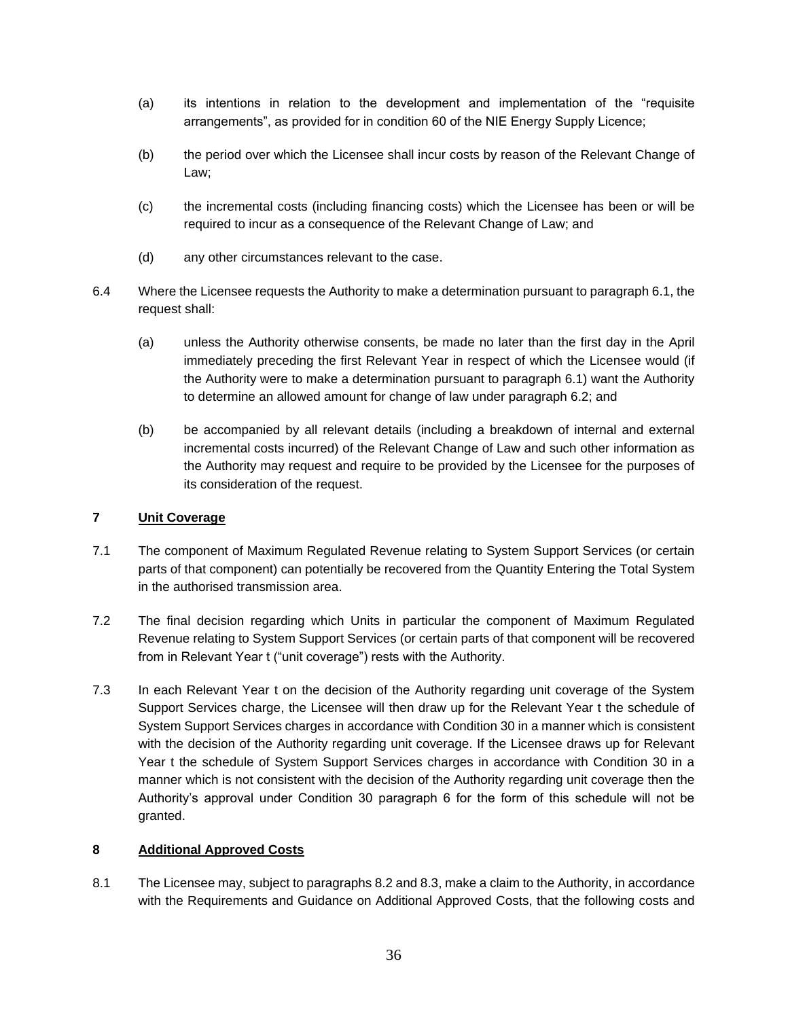- (a) its intentions in relation to the development and implementation of the "requisite arrangements", as provided for in condition 60 of the NIE Energy Supply Licence;
- (b) the period over which the Licensee shall incur costs by reason of the Relevant Change of Law;
- (c) the incremental costs (including financing costs) which the Licensee has been or will be required to incur as a consequence of the Relevant Change of Law; and
- (d) any other circumstances relevant to the case.
- 6.4 Where the Licensee requests the Authority to make a determination pursuant to paragraph 6.1, the request shall:
	- (a) unless the Authority otherwise consents, be made no later than the first day in the April immediately preceding the first Relevant Year in respect of which the Licensee would (if the Authority were to make a determination pursuant to paragraph 6.1) want the Authority to determine an allowed amount for change of law under paragraph 6.2; and
	- (b) be accompanied by all relevant details (including a breakdown of internal and external incremental costs incurred) of the Relevant Change of Law and such other information as the Authority may request and require to be provided by the Licensee for the purposes of its consideration of the request.

### **7 Unit Coverage**

- 7.1 The component of Maximum Regulated Revenue relating to System Support Services (or certain parts of that component) can potentially be recovered from the Quantity Entering the Total System in the authorised transmission area.
- 7.2 The final decision regarding which Units in particular the component of Maximum Regulated Revenue relating to System Support Services (or certain parts of that component will be recovered from in Relevant Year t ("unit coverage") rests with the Authority.
- 7.3 In each Relevant Year t on the decision of the Authority regarding unit coverage of the System Support Services charge, the Licensee will then draw up for the Relevant Year t the schedule of System Support Services charges in accordance with Condition 30 in a manner which is consistent with the decision of the Authority regarding unit coverage. If the Licensee draws up for Relevant Year t the schedule of System Support Services charges in accordance with Condition 30 in a manner which is not consistent with the decision of the Authority regarding unit coverage then the Authority's approval under Condition 30 paragraph 6 for the form of this schedule will not be granted.

#### **8 Additional Approved Costs**

8.1 The Licensee may, subject to paragraphs 8.2 and 8.3, make a claim to the Authority, in accordance with the Requirements and Guidance on Additional Approved Costs, that the following costs and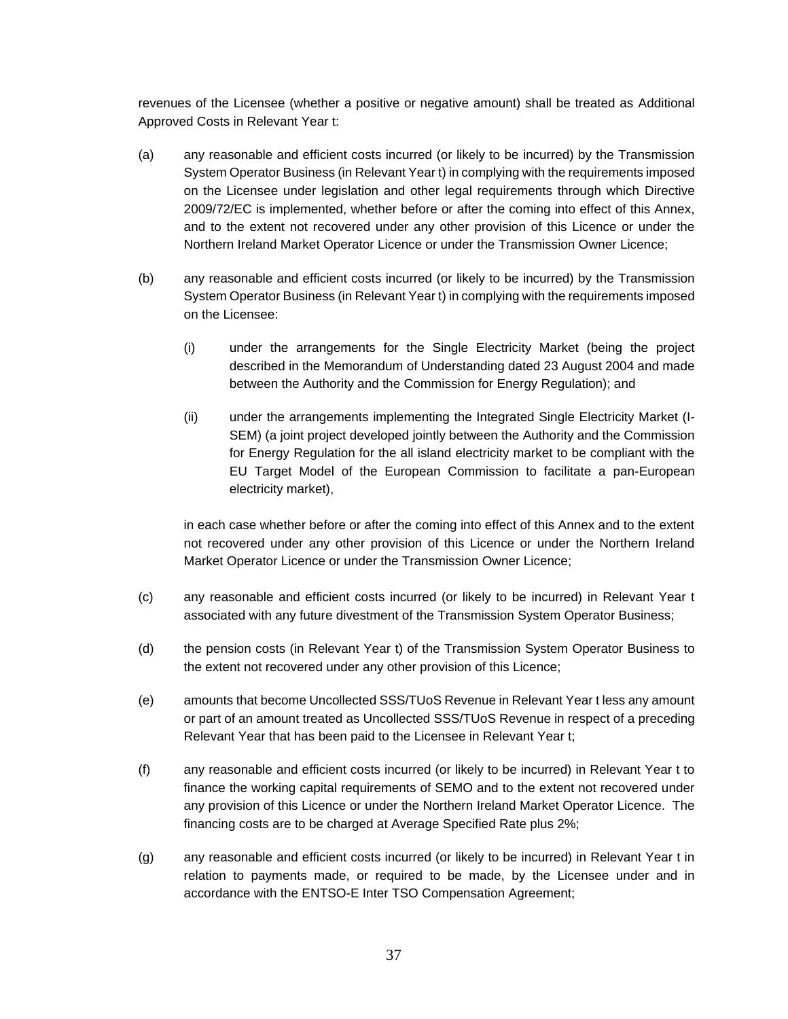revenues of the Licensee (whether a positive or negative amount) shall be treated as Additional Approved Costs in Relevant Year t:

- (a) any reasonable and efficient costs incurred (or likely to be incurred) by the Transmission System Operator Business (in Relevant Year t) in complying with the requirements imposed on the Licensee under legislation and other legal requirements through which Directive 2009/72/EC is implemented, whether before or after the coming into effect of this Annex, and to the extent not recovered under any other provision of this Licence or under the Northern Ireland Market Operator Licence or under the Transmission Owner Licence;
- (b) any reasonable and efficient costs incurred (or likely to be incurred) by the Transmission System Operator Business (in Relevant Year t) in complying with the requirements imposed on the Licensee:
	- (i) under the arrangements for the Single Electricity Market (being the project described in the Memorandum of Understanding dated 23 August 2004 and made between the Authority and the Commission for Energy Regulation); and
	- (ii) under the arrangements implementing the Integrated Single Electricity Market (I-SEM) (a joint project developed jointly between the Authority and the Commission for Energy Regulation for the all island electricity market to be compliant with the EU Target Model of the European Commission to facilitate a pan-European electricity market),

in each case whether before or after the coming into effect of this Annex and to the extent not recovered under any other provision of this Licence or under the Northern Ireland Market Operator Licence or under the Transmission Owner Licence;

- (c) any reasonable and efficient costs incurred (or likely to be incurred) in Relevant Year t associated with any future divestment of the Transmission System Operator Business;
- (d) the pension costs (in Relevant Year t) of the Transmission System Operator Business to the extent not recovered under any other provision of this Licence;
- (e) amounts that become Uncollected SSS/TUoS Revenue in Relevant Year t less any amount or part of an amount treated as Uncollected SSS/TUoS Revenue in respect of a preceding Relevant Year that has been paid to the Licensee in Relevant Year t;
- (f) any reasonable and efficient costs incurred (or likely to be incurred) in Relevant Year t to finance the working capital requirements of SEMO and to the extent not recovered under any provision of this Licence or under the Northern Ireland Market Operator Licence. The financing costs are to be charged at Average Specified Rate plus 2%;
- (g) any reasonable and efficient costs incurred (or likely to be incurred) in Relevant Year t in relation to payments made, or required to be made, by the Licensee under and in accordance with the ENTSO-E Inter TSO Compensation Agreement;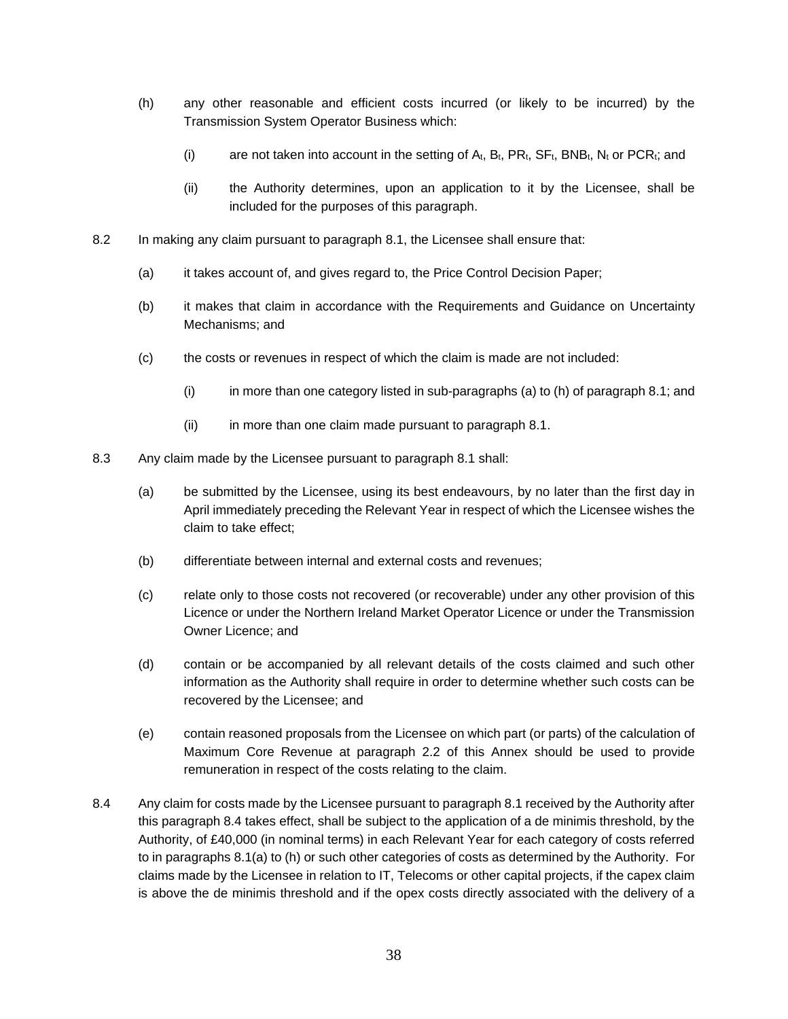- (h) any other reasonable and efficient costs incurred (or likely to be incurred) by the Transmission System Operator Business which:
	- (i) are not taken into account in the setting of  $A_t$ ,  $B_t$ ,  $PR_t$ ,  $SF_t$ ,  $BNB_t$ ,  $N_t$  or  $PCR_i$ ; and
	- (ii) the Authority determines, upon an application to it by the Licensee, shall be included for the purposes of this paragraph.
- 8.2 In making any claim pursuant to paragraph 8.1, the Licensee shall ensure that:
	- (a) it takes account of, and gives regard to, the Price Control Decision Paper;
	- (b) it makes that claim in accordance with the Requirements and Guidance on Uncertainty Mechanisms; and
	- (c) the costs or revenues in respect of which the claim is made are not included:
		- (i) in more than one category listed in sub-paragraphs (a) to (h) of paragraph 8.1; and
		- (ii) in more than one claim made pursuant to paragraph 8.1.
- 8.3 Any claim made by the Licensee pursuant to paragraph 8.1 shall:
	- (a) be submitted by the Licensee, using its best endeavours, by no later than the first day in April immediately preceding the Relevant Year in respect of which the Licensee wishes the claim to take effect;
	- (b) differentiate between internal and external costs and revenues;
	- (c) relate only to those costs not recovered (or recoverable) under any other provision of this Licence or under the Northern Ireland Market Operator Licence or under the Transmission Owner Licence; and
	- (d) contain or be accompanied by all relevant details of the costs claimed and such other information as the Authority shall require in order to determine whether such costs can be recovered by the Licensee; and
	- (e) contain reasoned proposals from the Licensee on which part (or parts) of the calculation of Maximum Core Revenue at paragraph 2.2 of this Annex should be used to provide remuneration in respect of the costs relating to the claim.
- 8.4 Any claim for costs made by the Licensee pursuant to paragraph 8.1 received by the Authority after this paragraph 8.4 takes effect, shall be subject to the application of a de minimis threshold, by the Authority, of £40,000 (in nominal terms) in each Relevant Year for each category of costs referred to in paragraphs 8.1(a) to (h) or such other categories of costs as determined by the Authority. For claims made by the Licensee in relation to IT, Telecoms or other capital projects, if the capex claim is above the de minimis threshold and if the opex costs directly associated with the delivery of a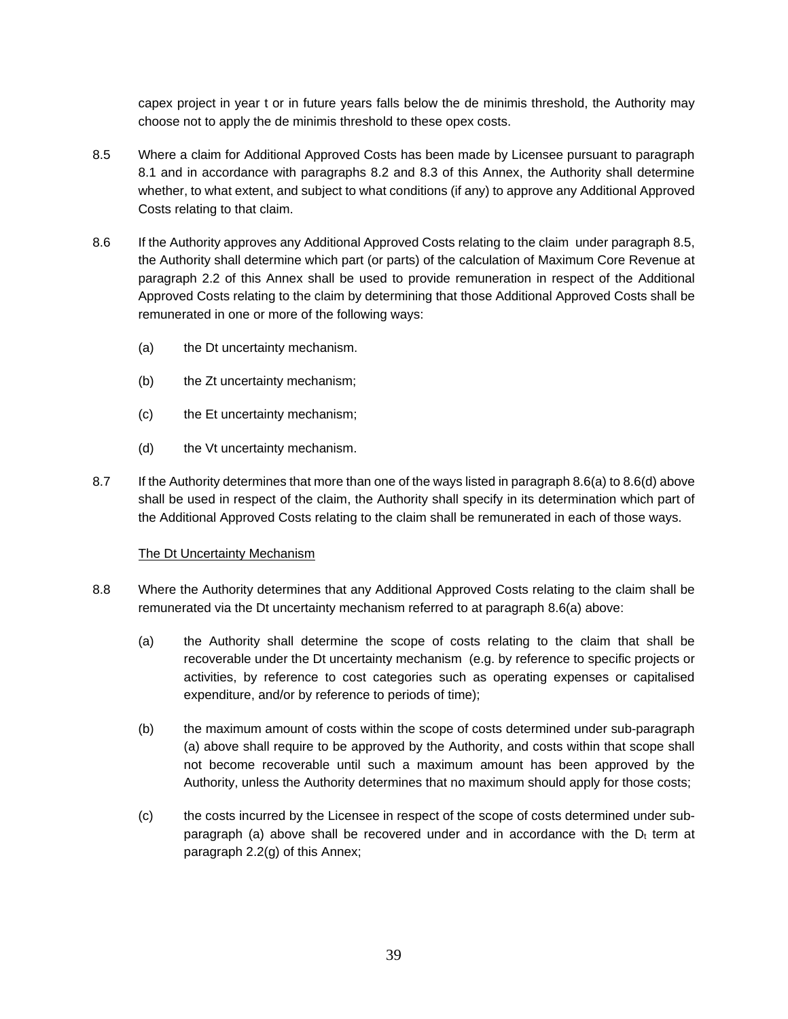capex project in year t or in future years falls below the de minimis threshold, the Authority may choose not to apply the de minimis threshold to these opex costs.

- 8.5 Where a claim for Additional Approved Costs has been made by Licensee pursuant to paragraph 8.1 and in accordance with paragraphs 8.2 and 8.3 of this Annex, the Authority shall determine whether, to what extent, and subject to what conditions (if any) to approve any Additional Approved Costs relating to that claim.
- 8.6 If the Authority approves any Additional Approved Costs relating to the claim under paragraph 8.5, the Authority shall determine which part (or parts) of the calculation of Maximum Core Revenue at paragraph 2.2 of this Annex shall be used to provide remuneration in respect of the Additional Approved Costs relating to the claim by determining that those Additional Approved Costs shall be remunerated in one or more of the following ways:
	- (a) the Dt uncertainty mechanism.
	- (b) the Zt uncertainty mechanism;
	- (c) the Et uncertainty mechanism;
	- (d) the Vt uncertainty mechanism.
- 8.7 If the Authority determines that more than one of the ways listed in paragraph 8.6(a) to 8.6(d) above shall be used in respect of the claim, the Authority shall specify in its determination which part of the Additional Approved Costs relating to the claim shall be remunerated in each of those ways.

#### The Dt Uncertainty Mechanism

- 8.8 Where the Authority determines that any Additional Approved Costs relating to the claim shall be remunerated via the Dt uncertainty mechanism referred to at paragraph 8.6(a) above:
	- (a) the Authority shall determine the scope of costs relating to the claim that shall be recoverable under the Dt uncertainty mechanism (e.g. by reference to specific projects or activities, by reference to cost categories such as operating expenses or capitalised expenditure, and/or by reference to periods of time);
	- (b) the maximum amount of costs within the scope of costs determined under sub-paragraph (a) above shall require to be approved by the Authority, and costs within that scope shall not become recoverable until such a maximum amount has been approved by the Authority, unless the Authority determines that no maximum should apply for those costs;
	- (c) the costs incurred by the Licensee in respect of the scope of costs determined under subparagraph (a) above shall be recovered under and in accordance with the  $D_t$  term at paragraph 2.2(g) of this Annex;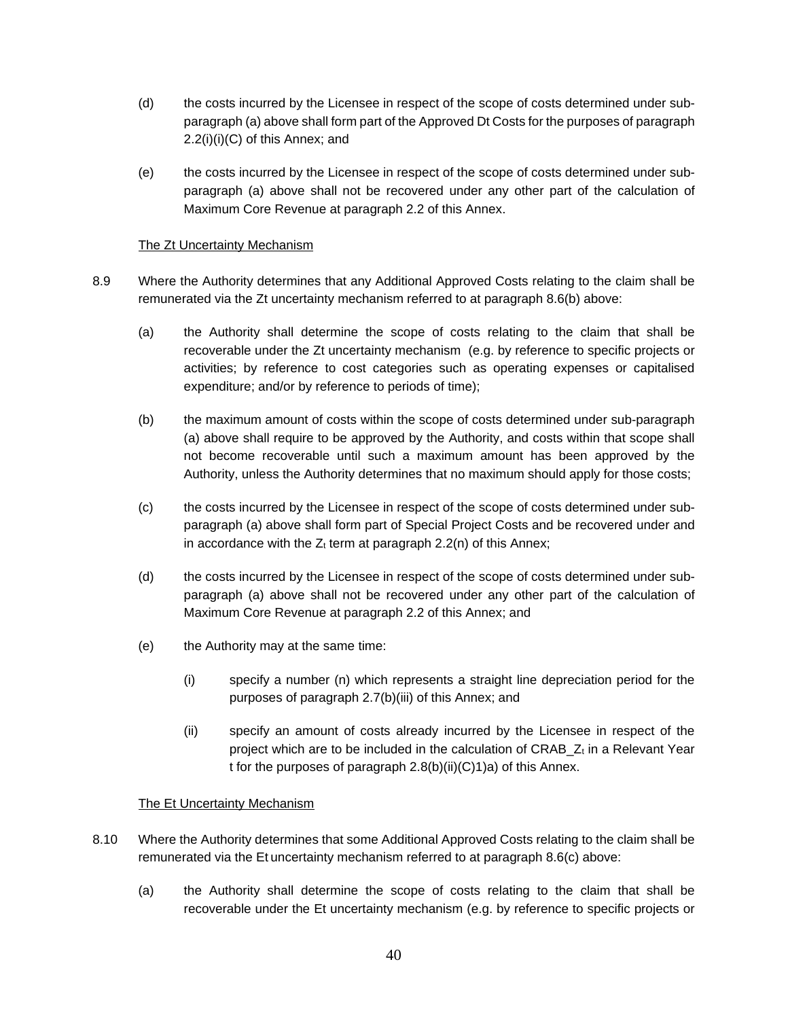- (d) the costs incurred by the Licensee in respect of the scope of costs determined under subparagraph (a) above shall form part of the Approved Dt Costs for the purposes of paragraph 2.2(i)(i)(C) of this Annex; and
- (e) the costs incurred by the Licensee in respect of the scope of costs determined under subparagraph (a) above shall not be recovered under any other part of the calculation of Maximum Core Revenue at paragraph 2.2 of this Annex.

## The Zt Uncertainty Mechanism

- 8.9 Where the Authority determines that any Additional Approved Costs relating to the claim shall be remunerated via the Zt uncertainty mechanism referred to at paragraph 8.6(b) above:
	- (a) the Authority shall determine the scope of costs relating to the claim that shall be recoverable under the Zt uncertainty mechanism (e.g. by reference to specific projects or activities; by reference to cost categories such as operating expenses or capitalised expenditure; and/or by reference to periods of time);
	- (b) the maximum amount of costs within the scope of costs determined under sub-paragraph (a) above shall require to be approved by the Authority, and costs within that scope shall not become recoverable until such a maximum amount has been approved by the Authority, unless the Authority determines that no maximum should apply for those costs;
	- (c) the costs incurred by the Licensee in respect of the scope of costs determined under subparagraph (a) above shall form part of Special Project Costs and be recovered under and in accordance with the  $Z_t$  term at paragraph 2.2(n) of this Annex;
	- (d) the costs incurred by the Licensee in respect of the scope of costs determined under subparagraph (a) above shall not be recovered under any other part of the calculation of Maximum Core Revenue at paragraph 2.2 of this Annex; and
	- (e) the Authority may at the same time:
		- (i) specify a number (n) which represents a straight line depreciation period for the purposes of paragraph 2.7(b)(iii) of this Annex; and
		- (ii) specify an amount of costs already incurred by the Licensee in respect of the project which are to be included in the calculation of CRAB\_Zt in a Relevant Year t for the purposes of paragraph 2.8(b)(ii)(C)1)a) of this Annex.

## The Et Uncertainty Mechanism

- 8.10 Where the Authority determines that some Additional Approved Costs relating to the claim shall be remunerated via the Et uncertainty mechanism referred to at paragraph 8.6(c) above:
	- (a) the Authority shall determine the scope of costs relating to the claim that shall be recoverable under the Et uncertainty mechanism (e.g. by reference to specific projects or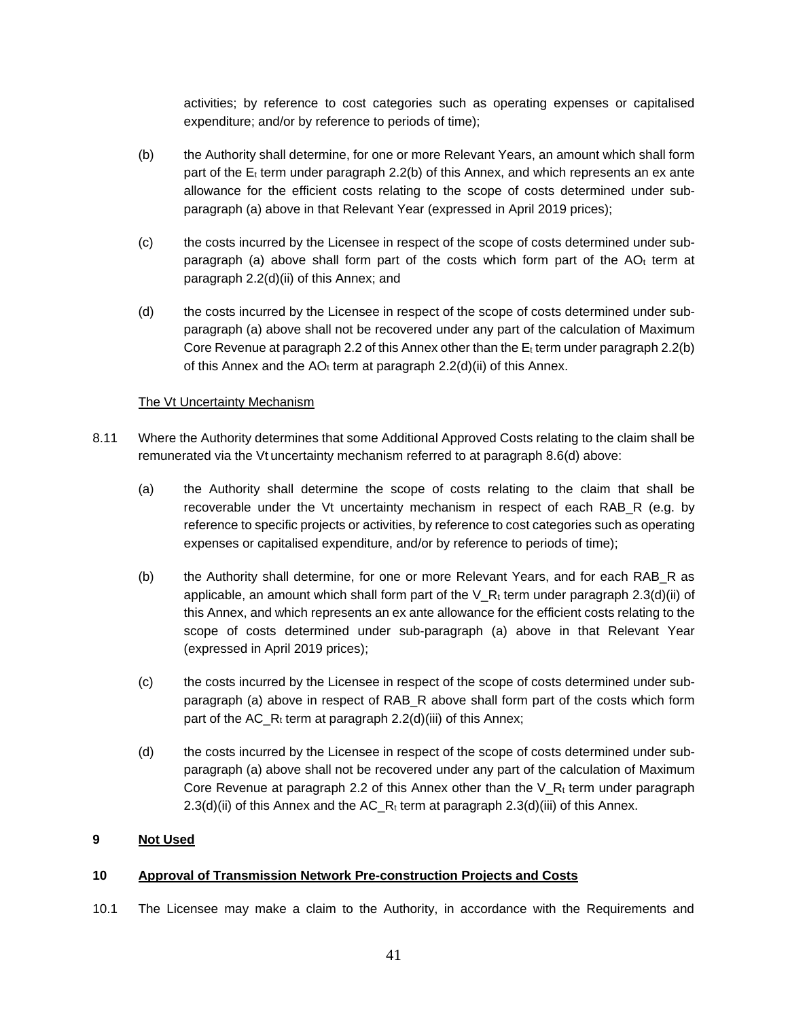activities; by reference to cost categories such as operating expenses or capitalised expenditure; and/or by reference to periods of time);

- (b) the Authority shall determine, for one or more Relevant Years, an amount which shall form part of the  $E_t$  term under paragraph 2.2(b) of this Annex, and which represents an ex ante allowance for the efficient costs relating to the scope of costs determined under subparagraph (a) above in that Relevant Year (expressed in April 2019 prices);
- (c) the costs incurred by the Licensee in respect of the scope of costs determined under subparagraph (a) above shall form part of the costs which form part of the  $AO<sub>t</sub>$  term at paragraph 2.2(d)(ii) of this Annex; and
- (d) the costs incurred by the Licensee in respect of the scope of costs determined under subparagraph (a) above shall not be recovered under any part of the calculation of Maximum Core Revenue at paragraph 2.2 of this Annex other than the  $E_t$  term under paragraph 2.2(b) of this Annex and the  $AO<sub>t</sub>$  term at paragraph 2.2(d)(ii) of this Annex.

### The Vt Uncertainty Mechanism

- 8.11 Where the Authority determines that some Additional Approved Costs relating to the claim shall be remunerated via the Vt uncertainty mechanism referred to at paragraph 8.6(d) above:
	- (a) the Authority shall determine the scope of costs relating to the claim that shall be recoverable under the Vt uncertainty mechanism in respect of each RAB\_R (e.g. by reference to specific projects or activities, by reference to cost categories such as operating expenses or capitalised expenditure, and/or by reference to periods of time);
	- (b) the Authority shall determine, for one or more Relevant Years, and for each RAB\_R as applicable, an amount which shall form part of the  $V_R$ t term under paragraph 2.3(d)(ii) of this Annex, and which represents an ex ante allowance for the efficient costs relating to the scope of costs determined under sub-paragraph (a) above in that Relevant Year (expressed in April 2019 prices);
	- (c) the costs incurred by the Licensee in respect of the scope of costs determined under subparagraph (a) above in respect of RAB\_R above shall form part of the costs which form part of the AC  $R_t$  term at paragraph 2.2(d)(iii) of this Annex;
	- (d) the costs incurred by the Licensee in respect of the scope of costs determined under subparagraph (a) above shall not be recovered under any part of the calculation of Maximum Core Revenue at paragraph 2.2 of this Annex other than the V<sub>Rt</sub> term under paragraph 2.3(d)(ii) of this Annex and the  $AC_R_t$  term at paragraph 2.3(d)(iii) of this Annex.

#### **9 Not Used**

#### **10 Approval of Transmission Network Pre-construction Projects and Costs**

10.1 The Licensee may make a claim to the Authority, in accordance with the Requirements and